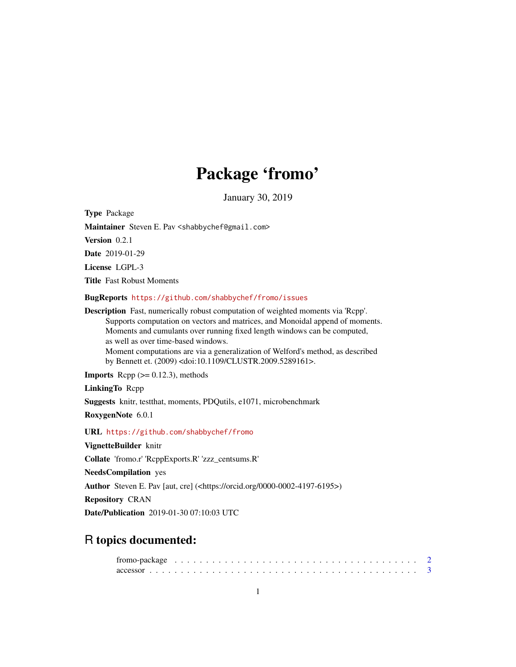# Package 'fromo'

January 30, 2019

<span id="page-0-0"></span>Type Package

Maintainer Steven E. Pav <shabbychef@gmail.com>

Version 0.2.1

Date 2019-01-29

License LGPL-3

Title Fast Robust Moments

BugReports <https://github.com/shabbychef/fromo/issues>

Description Fast, numerically robust computation of weighted moments via 'Rcpp'. Supports computation on vectors and matrices, and Monoidal append of moments. Moments and cumulants over running fixed length windows can be computed, as well as over time-based windows. Moment computations are via a generalization of Welford's method, as described by Bennett et. (2009) <doi:10.1109/CLUSTR.2009.5289161>.

**Imports** Rcpp  $(>= 0.12.3)$ , methods

LinkingTo Rcpp

Suggests knitr, testthat, moments, PDQutils, e1071, microbenchmark

RoxygenNote 6.0.1

URL <https://github.com/shabbychef/fromo>

VignetteBuilder knitr

Collate 'fromo.r' 'RcppExports.R' 'zzz\_centsums.R'

NeedsCompilation yes

Author Steven E. Pav [aut, cre] (<https://orcid.org/0000-0002-4197-6195>)

Repository CRAN

Date/Publication 2019-01-30 07:10:03 UTC

# R topics documented: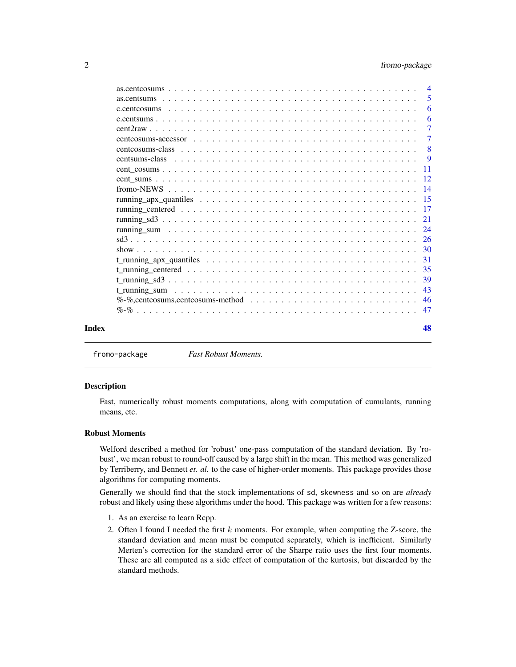# <span id="page-1-0"></span>2 fromo-package

|       |                                                                                                                                                         | -5                        |
|-------|---------------------------------------------------------------------------------------------------------------------------------------------------------|---------------------------|
|       |                                                                                                                                                         | -6                        |
|       |                                                                                                                                                         | -6                        |
|       |                                                                                                                                                         |                           |
|       | centcosums-accessor $\ldots$ $\ldots$ $\ldots$ $\ldots$ $\ldots$ $\ldots$ $\ldots$ $\ldots$ $\ldots$ $\ldots$ $\ldots$ $\ldots$ $\ldots$                | -7                        |
|       | centcosums-class $\ldots$ $\ldots$ $\ldots$ $\ldots$ $\ldots$ $\ldots$ $\ldots$ $\ldots$ $\ldots$ $\ldots$ $\ldots$ $\ldots$ $\ldots$ $\ldots$ $\ldots$ | $\overline{\phantom{0}}8$ |
|       |                                                                                                                                                         | $\overline{9}$            |
|       |                                                                                                                                                         |                           |
|       |                                                                                                                                                         |                           |
|       |                                                                                                                                                         |                           |
|       |                                                                                                                                                         |                           |
|       |                                                                                                                                                         |                           |
|       |                                                                                                                                                         |                           |
|       |                                                                                                                                                         |                           |
|       |                                                                                                                                                         |                           |
|       |                                                                                                                                                         |                           |
|       |                                                                                                                                                         |                           |
|       |                                                                                                                                                         |                           |
|       |                                                                                                                                                         |                           |
|       |                                                                                                                                                         |                           |
|       | $\%$ -%, cent cosums, cent cosums-method $\ldots \ldots \ldots \ldots \ldots \ldots \ldots \ldots \ldots \ldots \ldots$                                 |                           |
|       |                                                                                                                                                         |                           |
|       |                                                                                                                                                         |                           |
| Index |                                                                                                                                                         | 48                        |

fromo-package *Fast Robust Moments.*

#### **Description**

Fast, numerically robust moments computations, along with computation of cumulants, running means, etc.

#### Robust Moments

Welford described a method for 'robust' one-pass computation of the standard deviation. By 'robust', we mean robust to round-off caused by a large shift in the mean. This method was generalized by Terriberry, and Bennett *et. al.* to the case of higher-order moments. This package provides those algorithms for computing moments.

Generally we should find that the stock implementations of sd, skewness and so on are *already* robust and likely using these algorithms under the hood. This package was written for a few reasons:

- 1. As an exercise to learn Rcpp.
- 2. Often I found I needed the first  $k$  moments. For example, when computing the Z-score, the standard deviation and mean must be computed separately, which is inefficient. Similarly Merten's correction for the standard error of the Sharpe ratio uses the first four moments. These are all computed as a side effect of computation of the kurtosis, but discarded by the standard methods.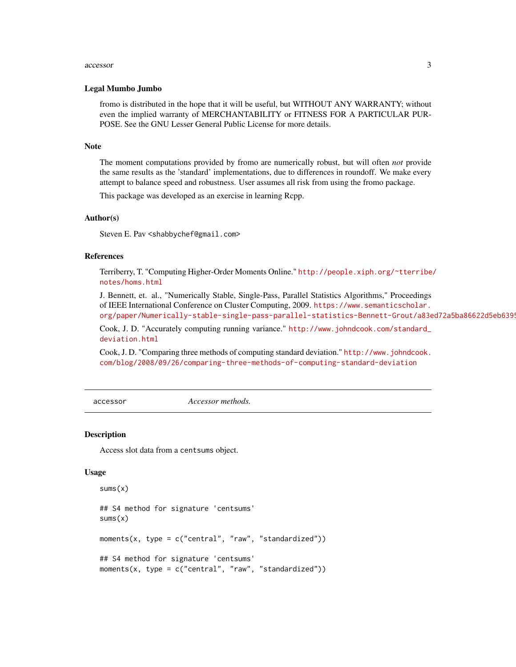#### <span id="page-2-0"></span>accessor 3

#### Legal Mumbo Jumbo

fromo is distributed in the hope that it will be useful, but WITHOUT ANY WARRANTY; without even the implied warranty of MERCHANTABILITY or FITNESS FOR A PARTICULAR PUR-POSE. See the GNU Lesser General Public License for more details.

#### Note

The moment computations provided by fromo are numerically robust, but will often *not* provide the same results as the 'standard' implementations, due to differences in roundoff. We make every attempt to balance speed and robustness. User assumes all risk from using the fromo package.

This package was developed as an exercise in learning Rcpp.

#### Author(s)

Steven E. Pav <shabbychef@gmail.com>

# References

Terriberry, T. "Computing Higher-Order Moments Online." [http://people.xiph.org/~tterribe](http://people.xiph.org/~tterribe/notes/homs.html)/ [notes/homs.html](http://people.xiph.org/~tterribe/notes/homs.html)

J. Bennett, et. al., "Numerically Stable, Single-Pass, Parallel Statistics Algorithms," Proceedings of IEEE International Conference on Cluster Computing, 2009. [https://www.semanticscholar.](https://www.semanticscholar.org/paper/Numerically-stable-single-pass-parallel-statistics-Bennett-Grout/a83ed72a5ba86622d5eb6395299b46d51c901265) org/paper/Numerically-stable-single-pass-parallel-statistics-Bennett-Grout/a83ed72a5ba86622d5eb6399

Cook, J. D. "Accurately computing running variance." [http://www.johndcook.com/standard\\_](http://www.johndcook.com/standard_deviation.html) [deviation.html](http://www.johndcook.com/standard_deviation.html)

Cook, J. D. "Comparing three methods of computing standard deviation." [http://www.johndcook.](http://www.johndcook.com/blog/2008/09/26/comparing-three-methods-of-computing-standard-deviation) [com/blog/2008/09/26/comparing-three-methods-of-computing-standard-deviation](http://www.johndcook.com/blog/2008/09/26/comparing-three-methods-of-computing-standard-deviation)

accessor *Accessor methods.*

#### **Description**

Access slot data from a centsums object.

#### Usage

```
sums(x)
## S4 method for signature 'centsums'
sums(x)
moments(x, type = c("central", "raw", "standardized"))
## S4 method for signature 'centsums'
moments(x, type = c("central", "raw", "standardized"))
```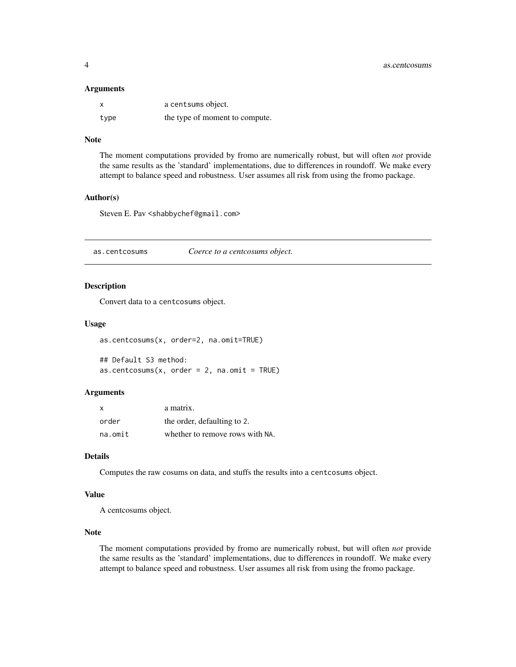#### <span id="page-3-0"></span>Arguments

|      | a centsums object.             |
|------|--------------------------------|
| type | the type of moment to compute. |

# Note

The moment computations provided by fromo are numerically robust, but will often *not* provide the same results as the 'standard' implementations, due to differences in roundoff. We make every attempt to balance speed and robustness. User assumes all risk from using the fromo package.

#### Author(s)

Steven E. Pav <shabbychef@gmail.com>

as.centcosums *Coerce to a centcosums object.*

#### Description

Convert data to a centcosums object.

#### Usage

```
as.centcosums(x, order=2, na.omit=TRUE)
```
## Default S3 method:  $as.centcosums(x, order = 2, na.omit = TRUE)$ 

#### Arguments

| $\times$ | a matrix.                       |
|----------|---------------------------------|
| order    | the order, defaulting to 2.     |
| na.omit  | whether to remove rows with NA. |

#### Details

Computes the raw cosums on data, and stuffs the results into a centcosums object.

#### Value

A centcosums object.

#### Note

The moment computations provided by fromo are numerically robust, but will often *not* provide the same results as the 'standard' implementations, due to differences in roundoff. We make every attempt to balance speed and robustness. User assumes all risk from using the fromo package.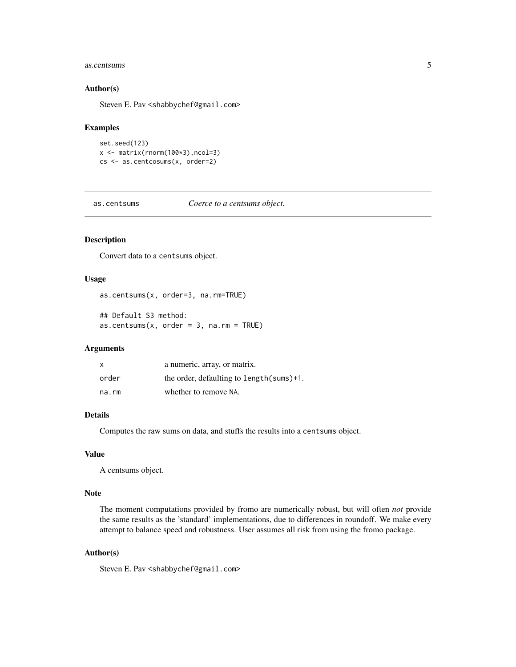#### <span id="page-4-0"></span>as.centsums 5

#### Author(s)

Steven E. Pav <shabbychef@gmail.com>

#### Examples

set.seed(123) x <- matrix(rnorm(100\*3),ncol=3) cs <- as.centcosums(x, order=2)

as.centsums *Coerce to a centsums object.*

#### Description

Convert data to a centsums object.

# Usage

```
as.centsums(x, order=3, na.rm=TRUE)
```
## Default S3 method:  $as.centsum(x, order = 3, na.rm = TRUE)$ 

#### Arguments

| X     | a numeric, array, or matrix.               |
|-------|--------------------------------------------|
| order | the order, defaulting to length (sums) +1. |
| na.rm | whether to remove NA.                      |

# Details

Computes the raw sums on data, and stuffs the results into a centsums object.

#### Value

A centsums object.

#### Note

The moment computations provided by fromo are numerically robust, but will often *not* provide the same results as the 'standard' implementations, due to differences in roundoff. We make every attempt to balance speed and robustness. User assumes all risk from using the fromo package.

# Author(s)

Steven E. Pav <shabbychef@gmail.com>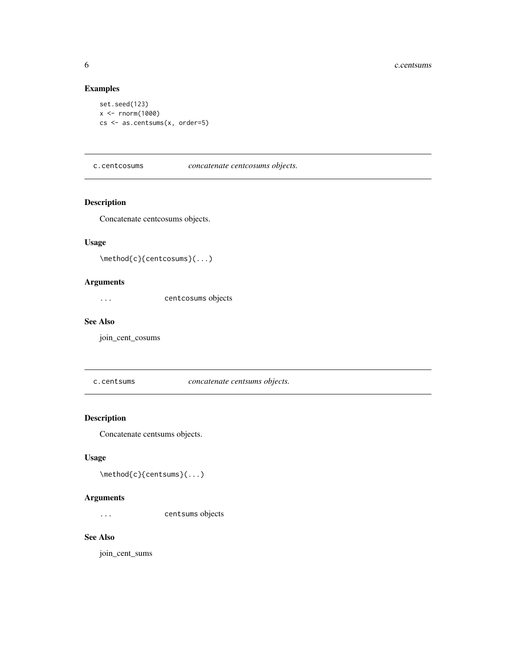# Examples

```
set.seed(123)
x < - rnorm(1000)
cs <- as.centsums(x, order=5)
```
c.centcosums *concatenate centcosums objects.*

# Description

Concatenate centcosums objects.

#### Usage

```
\method{c}{centcosums}(...)
```
# Arguments

... centcosums objects

#### See Also

join\_cent\_cosums

c.centsums *concatenate centsums objects.*

# Description

Concatenate centsums objects.

# Usage

```
\method{c}{centsums}(...)
```
# Arguments

... centsums objects

# See Also

join\_cent\_sums

<span id="page-5-0"></span>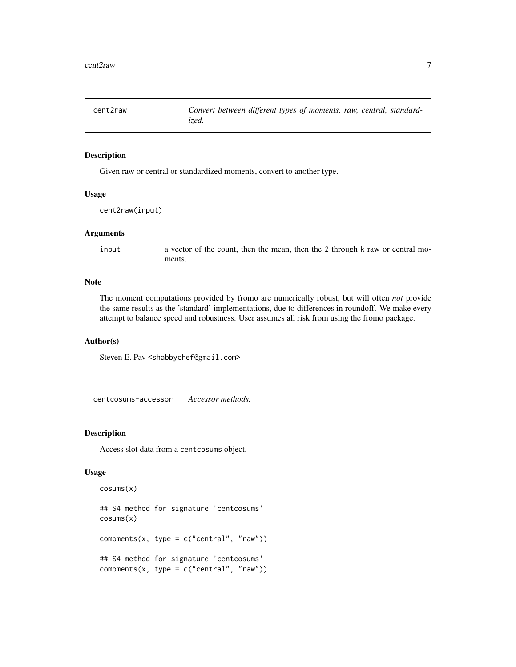<span id="page-6-0"></span>

#### Description

Given raw or central or standardized moments, convert to another type.

#### Usage

```
cent2raw(input)
```
#### Arguments

input a vector of the count, then the mean, then the 2 through k raw or central moments.

#### Note

The moment computations provided by fromo are numerically robust, but will often *not* provide the same results as the 'standard' implementations, due to differences in roundoff. We make every attempt to balance speed and robustness. User assumes all risk from using the fromo package.

#### Author(s)

Steven E. Pav <shabbychef@gmail.com>

centcosums-accessor *Accessor methods.*

#### Description

Access slot data from a centcosums object.

### Usage

```
cosums(x)
```

```
## S4 method for signature 'centcosums'
cosums(x)
comoments(x, type = c("central", "raw"))
## S4 method for signature 'centcosums'
commonts(x, type = c("central", "raw"))
```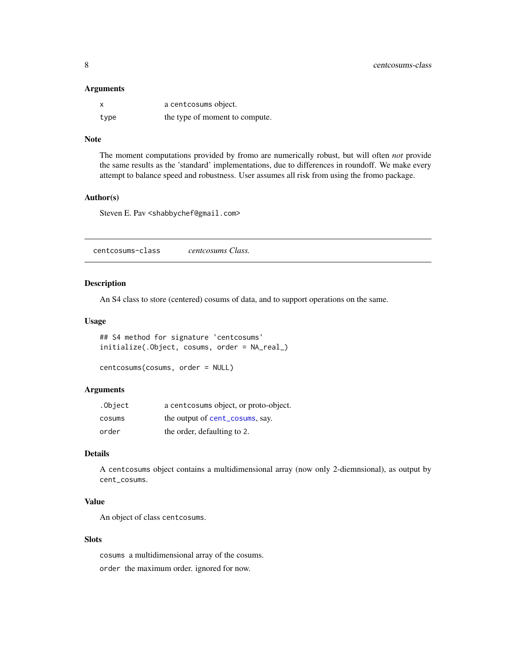#### <span id="page-7-0"></span>Arguments

| x    | a centcosums object.           |
|------|--------------------------------|
| type | the type of moment to compute. |

# Note

The moment computations provided by fromo are numerically robust, but will often *not* provide the same results as the 'standard' implementations, due to differences in roundoff. We make every attempt to balance speed and robustness. User assumes all risk from using the fromo package.

#### Author(s)

Steven E. Pav <shabbychef@gmail.com>

| centcosums Class. |  |  |  |  |
|-------------------|--|--|--|--|
|-------------------|--|--|--|--|

# Description

An S4 class to store (centered) cosums of data, and to support operations on the same.

#### Usage

```
## S4 method for signature 'centcosums'
initialize(.Object, cosums, order = NA_real_)
```

```
centcosums(cosums, order = NULL)
```
# Arguments

| .Object | a cent cosums object, or proto-object. |
|---------|----------------------------------------|
| cosums  | the output of cent_cosums, say.        |
| order   | the order, defaulting to 2.            |

# Details

A centcosums object contains a multidimensional array (now only 2-diemnsional), as output by cent\_cosums.

#### Value

An object of class centcosums.

#### Slots

cosums a multidimensional array of the cosums. order the maximum order. ignored for now.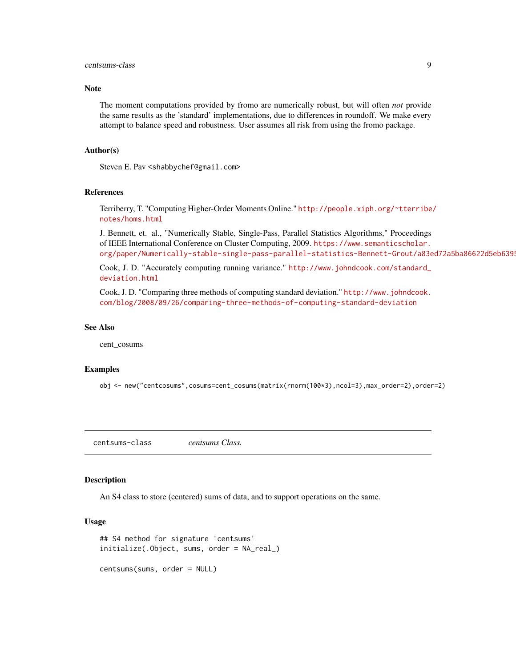#### <span id="page-8-0"></span>centsums-class 9

#### Note

The moment computations provided by fromo are numerically robust, but will often *not* provide the same results as the 'standard' implementations, due to differences in roundoff. We make every attempt to balance speed and robustness. User assumes all risk from using the fromo package.

#### Author(s)

Steven E. Pav <shabbychef@gmail.com>

#### References

Terriberry, T. "Computing Higher-Order Moments Online." [http://people.xiph.org/~tterribe](http://people.xiph.org/~tterribe/notes/homs.html)/ [notes/homs.html](http://people.xiph.org/~tterribe/notes/homs.html)

J. Bennett, et. al., "Numerically Stable, Single-Pass, Parallel Statistics Algorithms," Proceedings of IEEE International Conference on Cluster Computing, 2009. [https://www.semanticscholar.](https://www.semanticscholar.org/paper/Numerically-stable-single-pass-parallel-statistics-Bennett-Grout/a83ed72a5ba86622d5eb6395299b46d51c901265) org/paper/Numerically-stable-single-pass-parallel-statistics-Bennett-Grout/a83ed72a5ba86622d5eb6399

Cook, J. D. "Accurately computing running variance." [http://www.johndcook.com/standard\\_](http://www.johndcook.com/standard_deviation.html) [deviation.html](http://www.johndcook.com/standard_deviation.html)

Cook, J. D. "Comparing three methods of computing standard deviation." [http://www.johndcook.](http://www.johndcook.com/blog/2008/09/26/comparing-three-methods-of-computing-standard-deviation) [com/blog/2008/09/26/comparing-three-methods-of-computing-standard-deviation](http://www.johndcook.com/blog/2008/09/26/comparing-three-methods-of-computing-standard-deviation)

#### See Also

cent\_cosums

#### Examples

obj <- new("centcosums",cosums=cent\_cosums(matrix(rnorm(100\*3),ncol=3),max\_order=2),order=2)

centsums-class *centsums Class.*

#### Description

An S4 class to store (centered) sums of data, and to support operations on the same.

#### Usage

```
## S4 method for signature 'centsums'
initialize(.Object, sums, order = NA_real_)
```
centsums(sums, order = NULL)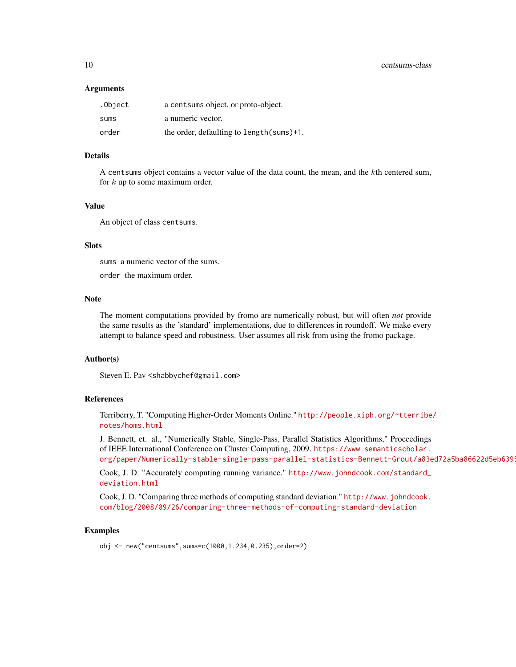#### Arguments

| .Object | a cent sums object, or proto-object.       |
|---------|--------------------------------------------|
| sums    | a numeric vector.                          |
| order   | the order, defaulting to length (sums) +1. |

#### Details

A centsums object contains a vector value of the data count, the mean, and the kth centered sum, for  $k$  up to some maximum order.

### Value

An object of class centsums.

# **Slots**

sums a numeric vector of the sums.

order the maximum order.

#### Note

The moment computations provided by fromo are numerically robust, but will often *not* provide the same results as the 'standard' implementations, due to differences in roundoff. We make every attempt to balance speed and robustness. User assumes all risk from using the fromo package.

#### Author(s)

Steven E. Pav <shabbychef@gmail.com>

### References

Terriberry, T. "Computing Higher-Order Moments Online." [http://people.xiph.org/~tterribe](http://people.xiph.org/~tterribe/notes/homs.html)/ [notes/homs.html](http://people.xiph.org/~tterribe/notes/homs.html)

J. Bennett, et. al., "Numerically Stable, Single-Pass, Parallel Statistics Algorithms," Proceedings of IEEE International Conference on Cluster Computing, 2009. [https://www.semanticscholar.](https://www.semanticscholar.org/paper/Numerically-stable-single-pass-parallel-statistics-Bennett-Grout/a83ed72a5ba86622d5eb6395299b46d51c901265) org/paper/Numerically-stable-single-pass-parallel-statistics-Bennett-Grout/a83ed72a5ba86622d5eb6399

Cook, J. D. "Accurately computing running variance." [http://www.johndcook.com/standard\\_](http://www.johndcook.com/standard_deviation.html) [deviation.html](http://www.johndcook.com/standard_deviation.html)

Cook, J. D. "Comparing three methods of computing standard deviation." [http://www.johndcook.](http://www.johndcook.com/blog/2008/09/26/comparing-three-methods-of-computing-standard-deviation) [com/blog/2008/09/26/comparing-three-methods-of-computing-standard-deviation](http://www.johndcook.com/blog/2008/09/26/comparing-three-methods-of-computing-standard-deviation)

#### Examples

obj <- new("centsums",sums=c(1000,1.234,0.235),order=2)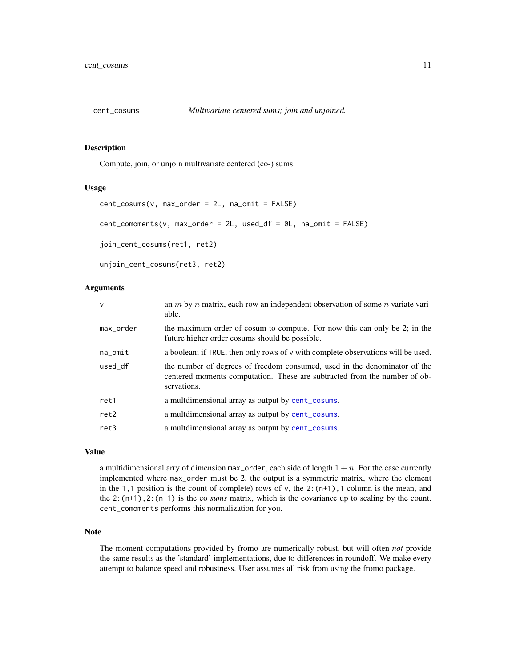<span id="page-10-1"></span><span id="page-10-0"></span>

# Description

Compute, join, or unjoin multivariate centered (co-) sums.

#### Usage

```
cent_cosums(v, max_order = 2L, na_omit = FALSE)
cent_comoments(v, max_order = 2L, used_df = 0L, na_omit = FALSE)
join_cent_cosums(ret1, ret2)
```

```
unjoin_cent_cosums(ret3, ret2)
```
#### Arguments

| $\mathsf{V}$ | an $m$ by $n$ matrix, each row an independent observation of some $n$ variate vari-<br>able.                                                                          |
|--------------|-----------------------------------------------------------------------------------------------------------------------------------------------------------------------|
| max_order    | the maximum order of cosum to compute. For now this can only be 2; in the<br>future higher order cosums should be possible.                                           |
| $na\_omit$   | a boolean; if TRUE, then only rows of v with complete observations will be used.                                                                                      |
| used_df      | the number of degrees of freedom consumed, used in the denominator of the<br>centered moments computation. These are subtracted from the number of ob-<br>servations. |
| ret1         | a multdimensional array as output by cent_cosums.                                                                                                                     |
| ret2         | a multdimensional array as output by cent_cosums.                                                                                                                     |
| ret3         | a multdimensional array as output by cent_cosums.                                                                                                                     |
|              |                                                                                                                                                                       |

### Value

a multidimensional arry of dimension max\_order, each side of length  $1 + n$ . For the case currently implemented where max\_order must be 2, the output is a symmetric matrix, where the element in the 1,1 position is the count of complete) rows of v, the  $2:(n+1)$ , 1 column is the mean, and the  $2:(n+1)$ ,  $2:(n+1)$  is the co *sums* matrix, which is the covariance up to scaling by the count. cent\_comoments performs this normalization for you.

# Note

The moment computations provided by fromo are numerically robust, but will often *not* provide the same results as the 'standard' implementations, due to differences in roundoff. We make every attempt to balance speed and robustness. User assumes all risk from using the fromo package.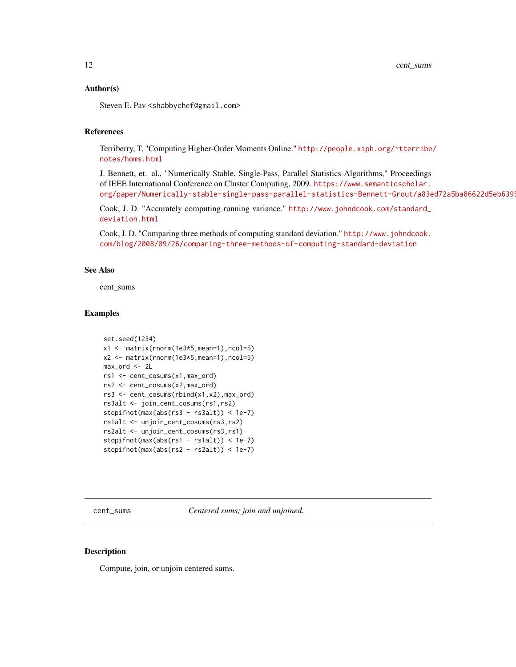#### <span id="page-11-0"></span>Author(s)

Steven E. Pav <shabbychef@gmail.com>

# References

Terriberry, T. "Computing Higher-Order Moments Online." [http://people.xiph.org/~tterribe](http://people.xiph.org/~tterribe/notes/homs.html)/ [notes/homs.html](http://people.xiph.org/~tterribe/notes/homs.html)

J. Bennett, et. al., "Numerically Stable, Single-Pass, Parallel Statistics Algorithms," Proceedings of IEEE International Conference on Cluster Computing, 2009. [https://www.semanticscholar.](https://www.semanticscholar.org/paper/Numerically-stable-single-pass-parallel-statistics-Bennett-Grout/a83ed72a5ba86622d5eb6395299b46d51c901265) org/paper/Numerically-stable-single-pass-parallel-statistics-Bennett-Grout/a83ed72a5ba86622d5eb6399

Cook, J. D. "Accurately computing running variance." [http://www.johndcook.com/standard\\_](http://www.johndcook.com/standard_deviation.html) [deviation.html](http://www.johndcook.com/standard_deviation.html)

Cook, J. D. "Comparing three methods of computing standard deviation." [http://www.johndcook.](http://www.johndcook.com/blog/2008/09/26/comparing-three-methods-of-computing-standard-deviation) [com/blog/2008/09/26/comparing-three-methods-of-computing-standard-deviation](http://www.johndcook.com/blog/2008/09/26/comparing-three-methods-of-computing-standard-deviation)

# See Also

cent\_sums

#### Examples

```
set.seed(1234)
x1 <- matrix(rnorm(1e3*5,mean=1),ncol=5)
x2 <- matrix(rnorm(1e3*5,mean=1),ncol=5)
max_ord <- 2L
rs1 <- cent_cosums(x1,max_ord)
rs2 <- cent_cosums(x2,max_ord)
rs3 <- cent_cosums(rbind(x1,x2),max_ord)
rs3alt <- join_cent_cosums(rs1,rs2)
stopifnot(max(abs(rs3 - rs3alt)) < 1e-7)
rs1alt <- unjoin_cent_cosums(rs3,rs2)
rs2alt <- unjoin_cent_cosums(rs3,rs1)
stopifnot(max(abs(rs1 - rs1alt)) < 1e-7)
stopifnot(max(abs(rs2 - rs2alt)) < 1e-7)
```
<span id="page-11-1"></span>cent\_sums *Centered sums; join and unjoined.*

#### Description

Compute, join, or unjoin centered sums.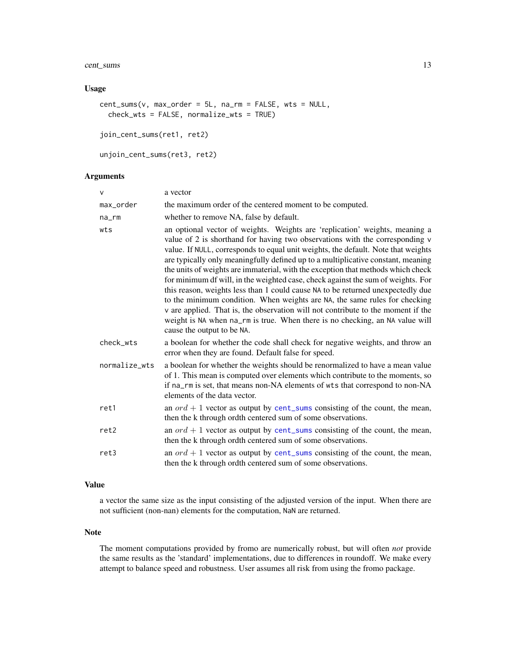# <span id="page-12-0"></span>cent\_sums 13

# Usage

```
cent\_sum(v, max\_order = 5L, na\_rm = FALSE, wts = NULL,check_wts = FALSE, normalize_wts = TRUE)
```
join\_cent\_sums(ret1, ret2)

```
unjoin_cent_sums(ret3, ret2)
```
# Arguments

| $\mathsf{V}$  | a vector                                                                                                                                                                                                                                                                                                                                                                                                                                                                                                                                                                                                                                                                                                                                                                                                                                                                        |
|---------------|---------------------------------------------------------------------------------------------------------------------------------------------------------------------------------------------------------------------------------------------------------------------------------------------------------------------------------------------------------------------------------------------------------------------------------------------------------------------------------------------------------------------------------------------------------------------------------------------------------------------------------------------------------------------------------------------------------------------------------------------------------------------------------------------------------------------------------------------------------------------------------|
| max_order     | the maximum order of the centered moment to be computed.                                                                                                                                                                                                                                                                                                                                                                                                                                                                                                                                                                                                                                                                                                                                                                                                                        |
| $na$ _ $rm$   | whether to remove NA, false by default.                                                                                                                                                                                                                                                                                                                                                                                                                                                                                                                                                                                                                                                                                                                                                                                                                                         |
| wts           | an optional vector of weights. Weights are 'replication' weights, meaning a<br>value of 2 is shorthand for having two observations with the corresponding v<br>value. If NULL, corresponds to equal unit weights, the default. Note that weights<br>are typically only meaningfully defined up to a multiplicative constant, meaning<br>the units of weights are immaterial, with the exception that methods which check<br>for minimum df will, in the weighted case, check against the sum of weights. For<br>this reason, weights less than 1 could cause NA to be returned unexpectedly due<br>to the minimum condition. When weights are NA, the same rules for checking<br>v are applied. That is, the observation will not contribute to the moment if the<br>weight is NA when na_rm is true. When there is no checking, an NA value will<br>cause the output to be NA. |
| check_wts     | a boolean for whether the code shall check for negative weights, and throw an<br>error when they are found. Default false for speed.                                                                                                                                                                                                                                                                                                                                                                                                                                                                                                                                                                                                                                                                                                                                            |
| normalize_wts | a boolean for whether the weights should be renormalized to have a mean value<br>of 1. This mean is computed over elements which contribute to the moments, so<br>if na_rm is set, that means non-NA elements of wts that correspond to non-NA<br>elements of the data vector.                                                                                                                                                                                                                                                                                                                                                                                                                                                                                                                                                                                                  |
| ret1          | an $ord + 1$ vector as output by cent_sums consisting of the count, the mean,<br>then the k through ordth centered sum of some observations.                                                                                                                                                                                                                                                                                                                                                                                                                                                                                                                                                                                                                                                                                                                                    |
| ret2          | an $ord + 1$ vector as output by cent_sums consisting of the count, the mean,<br>then the k through ordth centered sum of some observations.                                                                                                                                                                                                                                                                                                                                                                                                                                                                                                                                                                                                                                                                                                                                    |
| ret3          | an $ord + 1$ vector as output by cent_sums consisting of the count, the mean,<br>then the k through ordth centered sum of some observations.                                                                                                                                                                                                                                                                                                                                                                                                                                                                                                                                                                                                                                                                                                                                    |

#### Value

a vector the same size as the input consisting of the adjusted version of the input. When there are not sufficient (non-nan) elements for the computation, NaN are returned.

#### Note

The moment computations provided by fromo are numerically robust, but will often *not* provide the same results as the 'standard' implementations, due to differences in roundoff. We make every attempt to balance speed and robustness. User assumes all risk from using the fromo package.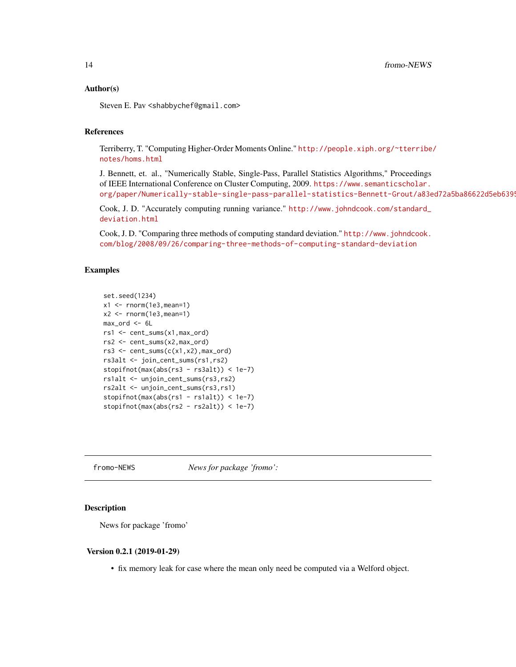#### <span id="page-13-0"></span>Author(s)

Steven E. Pav <shabbychef@gmail.com>

# References

Terriberry, T. "Computing Higher-Order Moments Online." [http://people.xiph.org/~tterribe](http://people.xiph.org/~tterribe/notes/homs.html)/ [notes/homs.html](http://people.xiph.org/~tterribe/notes/homs.html)

J. Bennett, et. al., "Numerically Stable, Single-Pass, Parallel Statistics Algorithms," Proceedings of IEEE International Conference on Cluster Computing, 2009. [https://www.semanticscholar.](https://www.semanticscholar.org/paper/Numerically-stable-single-pass-parallel-statistics-Bennett-Grout/a83ed72a5ba86622d5eb6395299b46d51c901265) org/paper/Numerically-stable-single-pass-parallel-statistics-Bennett-Grout/a83ed72a5ba86622d5eb6399

Cook, J. D. "Accurately computing running variance." [http://www.johndcook.com/standard\\_](http://www.johndcook.com/standard_deviation.html) [deviation.html](http://www.johndcook.com/standard_deviation.html)

Cook, J. D. "Comparing three methods of computing standard deviation." [http://www.johndcook.](http://www.johndcook.com/blog/2008/09/26/comparing-three-methods-of-computing-standard-deviation) [com/blog/2008/09/26/comparing-three-methods-of-computing-standard-deviation](http://www.johndcook.com/blog/2008/09/26/comparing-three-methods-of-computing-standard-deviation)

#### Examples

```
set.seed(1234)
x1 \leftarrow \text{norm}(1e3, \text{mean}=1)x2 \le rnorm(1e3, mean=1)
max_ord <- 6L
rs1 <- cent_sums(x1,max_ord)
rs2 <- cent_sums(x2,max_ord)
rs3 \leftarrow cent\_sum(c(x1, x2), max\_ord)rs3alt <- join_cent_sums(rs1,rs2)
stopifnot(max(abs(rs3 - rs3alt)) < 1e-7)
rs1alt <- unjoin_cent_sums(rs3,rs2)
rs2alt <- unjoin_cent_sums(rs3,rs1)
stopifnot(max(abs(rs1 - rs1alt)) < 1e-7)
stopifnot(max(abs(rs2 - rs2alt)) < 1e-7)
```
fromo-NEWS *News for package 'fromo':*

#### Description

News for package 'fromo'

#### Version 0.2.1 (2019-01-29)

• fix memory leak for case where the mean only need be computed via a Welford object.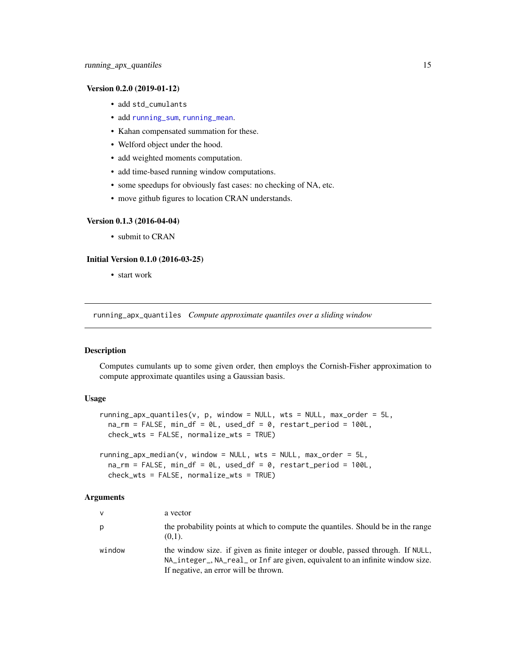#### <span id="page-14-0"></span>Version 0.2.0 (2019-01-12)

- add std\_cumulants
- add [running\\_sum](#page-23-1), [running\\_mean](#page-23-2).
- Kahan compensated summation for these.
- Welford object under the hood.
- add weighted moments computation.
- add time-based running window computations.
- some speedups for obviously fast cases: no checking of NA, etc.
- move github figures to location CRAN understands.

#### Version 0.1.3 (2016-04-04)

• submit to CRAN

#### Initial Version 0.1.0 (2016-03-25)

• start work

<span id="page-14-1"></span>running\_apx\_quantiles *Compute approximate quantiles over a sliding window*

#### Description

Computes cumulants up to some given order, then employs the Cornish-Fisher approximation to compute approximate quantiles using a Gaussian basis.

# Usage

```
running_apx_quantiles(v, p, window = NULL, wts = NULL, max_order = 5L,
  na\_rm = FALSE, min\_df = 0L, used\_df = 0, restart\_period = 100L,check_wts = FALSE, normalize_wts = TRUE)
```

```
running_apx_median(v, window = NULL, wts = NULL, max_order = 5L,na\_rm = FALSE, min\_df = 0L, used\_df = 0, restart\_period = 100L,check_wts = FALSE, normalize_wts = TRUE)
```
#### Arguments

| $\mathsf{v}$ | a vector                                                                                                                                                                                                   |
|--------------|------------------------------------------------------------------------------------------------------------------------------------------------------------------------------------------------------------|
| p            | the probability points at which to compute the quantiles. Should be in the range<br>$(0,1)$ .                                                                                                              |
| window       | the window size, if given as finite integer or double, passed through. If NULL,<br>NA_integer_, NA_real_ or Inf are given, equivalent to an infinite window size.<br>If negative, an error will be thrown. |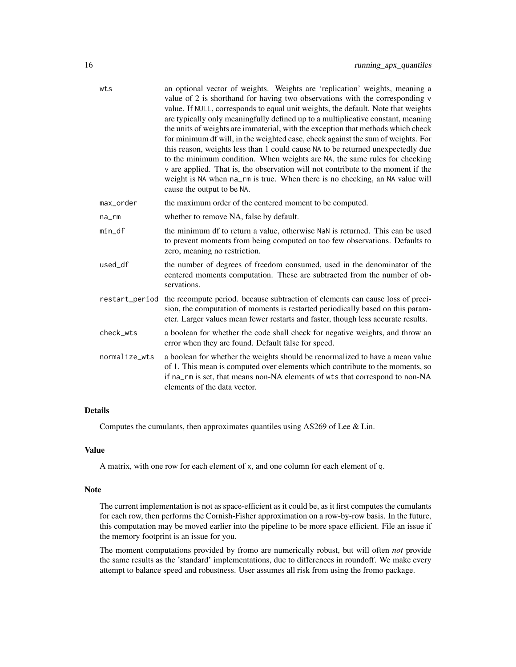| wts            | an optional vector of weights. Weights are 'replication' weights, meaning a<br>value of 2 is shorthand for having two observations with the corresponding v<br>value. If NULL, corresponds to equal unit weights, the default. Note that weights<br>are typically only meaningfully defined up to a multiplicative constant, meaning<br>the units of weights are immaterial, with the exception that methods which check<br>for minimum df will, in the weighted case, check against the sum of weights. For<br>this reason, weights less than 1 could cause NA to be returned unexpectedly due<br>to the minimum condition. When weights are NA, the same rules for checking<br>v are applied. That is, the observation will not contribute to the moment if the<br>weight is NA when na_rm is true. When there is no checking, an NA value will<br>cause the output to be NA. |
|----------------|---------------------------------------------------------------------------------------------------------------------------------------------------------------------------------------------------------------------------------------------------------------------------------------------------------------------------------------------------------------------------------------------------------------------------------------------------------------------------------------------------------------------------------------------------------------------------------------------------------------------------------------------------------------------------------------------------------------------------------------------------------------------------------------------------------------------------------------------------------------------------------|
| max_order      | the maximum order of the centered moment to be computed.                                                                                                                                                                                                                                                                                                                                                                                                                                                                                                                                                                                                                                                                                                                                                                                                                        |
| $na$ _ $rm$    | whether to remove NA, false by default.                                                                                                                                                                                                                                                                                                                                                                                                                                                                                                                                                                                                                                                                                                                                                                                                                                         |
| $min_d$        | the minimum df to return a value, otherwise NaN is returned. This can be used<br>to prevent moments from being computed on too few observations. Defaults to<br>zero, meaning no restriction.                                                                                                                                                                                                                                                                                                                                                                                                                                                                                                                                                                                                                                                                                   |
| used df        | the number of degrees of freedom consumed, used in the denominator of the<br>centered moments computation. These are subtracted from the number of ob-<br>servations.                                                                                                                                                                                                                                                                                                                                                                                                                                                                                                                                                                                                                                                                                                           |
| restart_period | the recompute period. because subtraction of elements can cause loss of preci-<br>sion, the computation of moments is restarted periodically based on this param-<br>eter. Larger values mean fewer restarts and faster, though less accurate results.                                                                                                                                                                                                                                                                                                                                                                                                                                                                                                                                                                                                                          |
| check_wts      | a boolean for whether the code shall check for negative weights, and throw an<br>error when they are found. Default false for speed.                                                                                                                                                                                                                                                                                                                                                                                                                                                                                                                                                                                                                                                                                                                                            |
| normalize_wts  | a boolean for whether the weights should be renormalized to have a mean value<br>of 1. This mean is computed over elements which contribute to the moments, so<br>if na_rm is set, that means non-NA elements of wts that correspond to non-NA<br>elements of the data vector.                                                                                                                                                                                                                                                                                                                                                                                                                                                                                                                                                                                                  |

# Details

Computes the cumulants, then approximates quantiles using AS269 of Lee & Lin.

# Value

A matrix, with one row for each element of x, and one column for each element of q.

#### Note

The current implementation is not as space-efficient as it could be, as it first computes the cumulants for each row, then performs the Cornish-Fisher approximation on a row-by-row basis. In the future, this computation may be moved earlier into the pipeline to be more space efficient. File an issue if the memory footprint is an issue for you.

The moment computations provided by fromo are numerically robust, but will often *not* provide the same results as the 'standard' implementations, due to differences in roundoff. We make every attempt to balance speed and robustness. User assumes all risk from using the fromo package.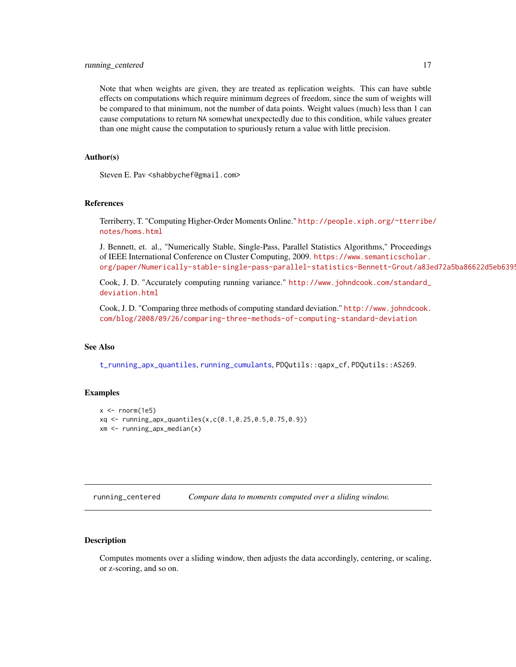#### <span id="page-16-0"></span>running\_centered 17

Note that when weights are given, they are treated as replication weights. This can have subtle effects on computations which require minimum degrees of freedom, since the sum of weights will be compared to that minimum, not the number of data points. Weight values (much) less than 1 can cause computations to return NA somewhat unexpectedly due to this condition, while values greater than one might cause the computation to spuriously return a value with little precision.

#### Author(s)

Steven E. Pav <shabbychef@gmail.com>

# References

Terriberry, T. "Computing Higher-Order Moments Online." [http://people.xiph.org/~tterribe](http://people.xiph.org/~tterribe/notes/homs.html)/ [notes/homs.html](http://people.xiph.org/~tterribe/notes/homs.html)

J. Bennett, et. al., "Numerically Stable, Single-Pass, Parallel Statistics Algorithms," Proceedings of IEEE International Conference on Cluster Computing, 2009. [https://www.semanticscholar.](https://www.semanticscholar.org/paper/Numerically-stable-single-pass-parallel-statistics-Bennett-Grout/a83ed72a5ba86622d5eb6395299b46d51c901265) org/paper/Numerically-stable-single-pass-parallel-statistics-Bennett-Grout/a83ed72a5ba86622d5eb6399

Cook, J. D. "Accurately computing running variance." [http://www.johndcook.com/standard\\_](http://www.johndcook.com/standard_deviation.html) [deviation.html](http://www.johndcook.com/standard_deviation.html)

Cook, J. D. "Comparing three methods of computing standard deviation." [http://www.johndcook.](http://www.johndcook.com/blog/2008/09/26/comparing-three-methods-of-computing-standard-deviation) [com/blog/2008/09/26/comparing-three-methods-of-computing-standard-deviation](http://www.johndcook.com/blog/2008/09/26/comparing-three-methods-of-computing-standard-deviation)

#### See Also

[t\\_running\\_apx\\_quantiles](#page-30-1), [running\\_cumulants](#page-20-1), PDQutils::qapx\_cf, PDQutils::AS269.

#### Examples

```
x < - rnorm(1e5)
xq <- running_apx_quantiles(x,c(0.1,0.25,0.5,0.75,0.9))
xm \leq running\_apx\_median(x)
```
<span id="page-16-1"></span>running\_centered *Compare data to moments computed over a sliding window.*

#### Description

Computes moments over a sliding window, then adjusts the data accordingly, centering, or scaling, or z-scoring, and so on.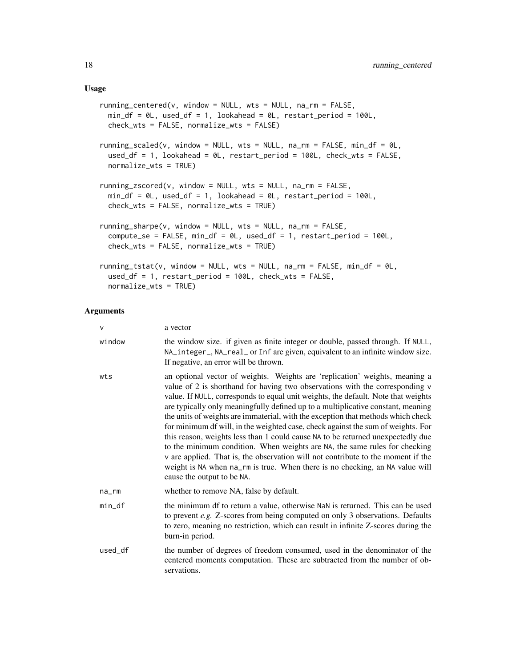#### Usage

```
running_centered(v, window = NULL, wts = NULL, na_rm = FALSE,
 min_d f = 0L, used_df = 1, lookahead = 0L, restart_period = 100L,
 check_wts = FALSE, normalize_wts = FALSE)
running_scaled(v, window = NULL, wts = NULL, na_rm = FALSE, min_df = 0L,
 used_df = 1, lookahead = 0L, restart_period = 100L, check_wts = FALSE,
 normalize_wts = TRUE)
running_zscored(v, window = NULL, wts = NULL, na_rm = FALSE,
 min_d f = 0L, used_df = 1, lookahead = 0L, restart_period = 100L,
 check_wts = FALSE, normalize_wts = TRUE)
running_sharpe(v, window = NULL, wts = NULL, na_rm = FALSE,
  compute_se = FALSE, min_df = 0L, used_df = 1, restart_period = 100L,
  check_wts = FALSE, normalize_wts = TRUE)
running_tstat(v, window = NULL, wts = NULL, na_rm = FALSE, min_df = 0L,
 used_df = 1, restart_period = 100L, check_wts = FALSE,
 normalize_wts = TRUE)
```
#### Arguments

| v       | a vector                                                                                                                                                                                                                                                                                                                                                                                                                                                                                                                                                                                                                                                                                                                                                                                                                                                                        |
|---------|---------------------------------------------------------------------------------------------------------------------------------------------------------------------------------------------------------------------------------------------------------------------------------------------------------------------------------------------------------------------------------------------------------------------------------------------------------------------------------------------------------------------------------------------------------------------------------------------------------------------------------------------------------------------------------------------------------------------------------------------------------------------------------------------------------------------------------------------------------------------------------|
| window  | the window size. if given as finite integer or double, passed through. If NULL,<br>NA_integer_, NA_real_ or Inf are given, equivalent to an infinite window size.<br>If negative, an error will be thrown.                                                                                                                                                                                                                                                                                                                                                                                                                                                                                                                                                                                                                                                                      |
| wts     | an optional vector of weights. Weights are 'replication' weights, meaning a<br>value of 2 is shorthand for having two observations with the corresponding v<br>value. If NULL, corresponds to equal unit weights, the default. Note that weights<br>are typically only meaningfully defined up to a multiplicative constant, meaning<br>the units of weights are immaterial, with the exception that methods which check<br>for minimum df will, in the weighted case, check against the sum of weights. For<br>this reason, weights less than 1 could cause NA to be returned unexpectedly due<br>to the minimum condition. When weights are NA, the same rules for checking<br>v are applied. That is, the observation will not contribute to the moment if the<br>weight is NA when na_rm is true. When there is no checking, an NA value will<br>cause the output to be NA. |
| na_rm   | whether to remove NA, false by default.                                                                                                                                                                                                                                                                                                                                                                                                                                                                                                                                                                                                                                                                                                                                                                                                                                         |
| min_df  | the minimum df to return a value, otherwise NaN is returned. This can be used<br>to prevent e.g. Z-scores from being computed on only 3 observations. Defaults<br>to zero, meaning no restriction, which can result in infinite Z-scores during the<br>burn-in period.                                                                                                                                                                                                                                                                                                                                                                                                                                                                                                                                                                                                          |
| used_df | the number of degrees of freedom consumed, used in the denominator of the<br>centered moments computation. These are subtracted from the number of ob-<br>servations.                                                                                                                                                                                                                                                                                                                                                                                                                                                                                                                                                                                                                                                                                                           |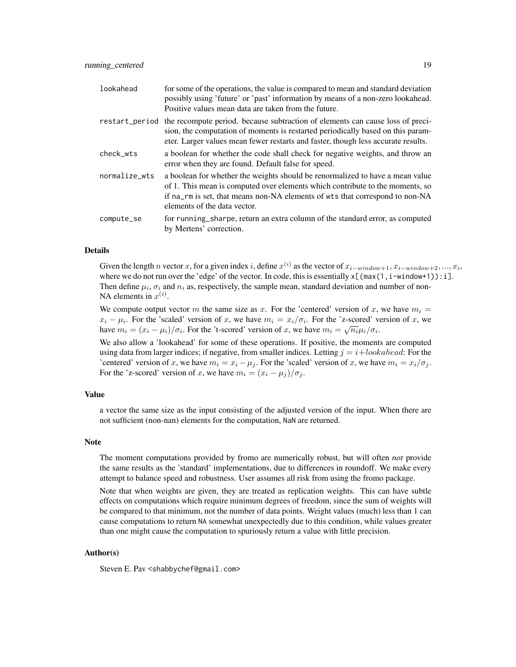| lookahead      | for some of the operations, the value is compared to mean and standard deviation<br>possibly using 'future' or 'past' information by means of a non-zero lookahead.<br>Positive values mean data are taken from the future.                                                    |
|----------------|--------------------------------------------------------------------------------------------------------------------------------------------------------------------------------------------------------------------------------------------------------------------------------|
| restart_period | the recompute period. because subtraction of elements can cause loss of preci-<br>sion, the computation of moments is restarted periodically based on this param-<br>eter. Larger values mean fewer restarts and faster, though less accurate results.                         |
| check wts      | a boolean for whether the code shall check for negative weights, and throw an<br>error when they are found. Default false for speed.                                                                                                                                           |
| normalize_wts  | a boolean for whether the weights should be renormalized to have a mean value<br>of 1. This mean is computed over elements which contribute to the moments, so<br>if na_rm is set, that means non-NA elements of wts that correspond to non-NA<br>elements of the data vector. |
| compute_se     | for running_sharpe, return an extra column of the standard error, as computed<br>by Mertens' correction.                                                                                                                                                                       |

#### Details

Given the length n vector x, for a given index i, define  $x^{(i)}$  as the vector of  $x_{i-window+1}, x_{i-window+2}, ..., x_i$ , where we do not run over the 'edge' of the vector. In code, this is essentially  $x[(max(1, i-window+1)):i].$ Then define  $\mu_i$ ,  $\sigma_i$  and  $n_i$  as, respectively, the sample mean, standard deviation and number of non-NA elements in  $x^{(i)}$ .

We compute output vector m the same size as x. For the 'centered' version of x, we have  $m_i =$  $x_i - \mu_i$ . For the 'scaled' version of x, we have  $m_i = x_i/\sigma_i$ . For the 'z-scored' version of x, we have  $m_i = (x_i - \mu_i)/\sigma_i$ . For the 't-scored' version of x, we have  $m_i = \sqrt{n_i} \mu_i/\sigma_i$ .

We also allow a 'lookahead' for some of these operations. If positive, the moments are computed using data from larger indices; if negative, from smaller indices. Letting  $j = i + 1,$  lookahead: For the 'centered' version of x, we have  $m_i = x_i - \mu_i$ . For the 'scaled' version of x, we have  $m_i = x_i/\sigma_i$ . For the 'z-scored' version of x, we have  $m_i = (x_i - \mu_i)/\sigma_i$ .

# Value

a vector the same size as the input consisting of the adjusted version of the input. When there are not sufficient (non-nan) elements for the computation, NaN are returned.

#### **Note**

The moment computations provided by fromo are numerically robust, but will often *not* provide the same results as the 'standard' implementations, due to differences in roundoff. We make every attempt to balance speed and robustness. User assumes all risk from using the fromo package.

Note that when weights are given, they are treated as replication weights. This can have subtle effects on computations which require minimum degrees of freedom, since the sum of weights will be compared to that minimum, not the number of data points. Weight values (much) less than 1 can cause computations to return NA somewhat unexpectedly due to this condition, while values greater than one might cause the computation to spuriously return a value with little precision.

#### Author(s)

Steven E. Pav <shabbychef@gmail.com>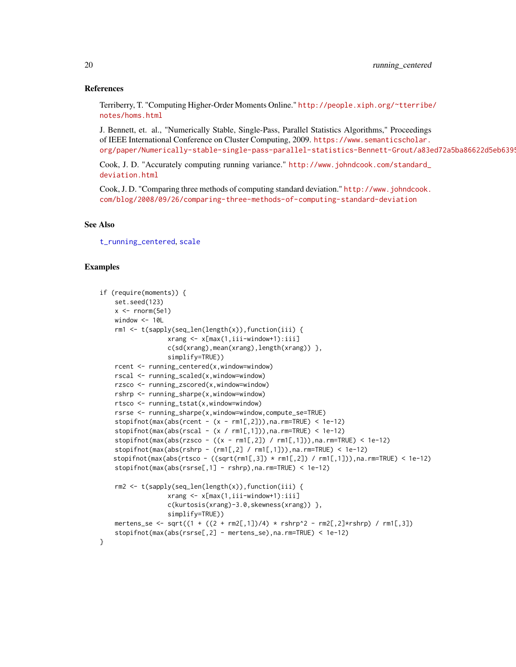#### References

Terriberry, T. "Computing Higher-Order Moments Online." [http://people.xiph.org/~tterribe](http://people.xiph.org/~tterribe/notes/homs.html)/ [notes/homs.html](http://people.xiph.org/~tterribe/notes/homs.html)

J. Bennett, et. al., "Numerically Stable, Single-Pass, Parallel Statistics Algorithms," Proceedings of IEEE International Conference on Cluster Computing, 2009. [https://www.semanticscholar.](https://www.semanticscholar.org/paper/Numerically-stable-single-pass-parallel-statistics-Bennett-Grout/a83ed72a5ba86622d5eb6395299b46d51c901265) org/paper/Numerically-stable-single-pass-parallel-statistics-Bennett-Grout/a83ed72a5ba86622d5eb6399

Cook, J. D. "Accurately computing running variance." [http://www.johndcook.com/standard\\_](http://www.johndcook.com/standard_deviation.html) [deviation.html](http://www.johndcook.com/standard_deviation.html)

Cook, J. D. "Comparing three methods of computing standard deviation." [http://www.johndcook.](http://www.johndcook.com/blog/2008/09/26/comparing-three-methods-of-computing-standard-deviation) [com/blog/2008/09/26/comparing-three-methods-of-computing-standard-deviation](http://www.johndcook.com/blog/2008/09/26/comparing-three-methods-of-computing-standard-deviation)

#### See Also

[t\\_running\\_centered](#page-34-1), [scale](#page-0-0)

#### Examples

```
if (require(moments)) {
   set.seed(123)
   x \leftarrow \text{norm}(5e1)window <-10Lrm1 < - t(sapply(seq_len(length(x)), function(iii) {
                  xrang <- x[max(1,iii-window+1):iii]
                  c(sd(xrang),mean(xrang),length(xrang)) },
                  simplify=TRUE))
   rcent <- running_centered(x,window=window)
   rscal <- running_scaled(x,window=window)
   rzsco <- running_zscored(x,window=window)
   rshrp <- running_sharpe(x,window=window)
   rtsco <- running_tstat(x,window=window)
   rsrse <- running_sharpe(x,window=window,compute_se=TRUE)
   stopifnot(max(abs(rcent - (x - rm1[,2])),na.rm=TRUE) < 1e-12)
   stopifnot(max(abs(rscal - (x / rm1[,1])),na.rm=TRUE) < 1e-12)
   stopifnot(max(abs(rzsco - ((x - rm1[,2]) / rm1[,1])),na.rm=TRUE) < 1e-12)
   stopifnot(max(abs(rshrp - (rm1[,2] /rm1]),na.rm=TRUE) < 1e-12)stopifnot(max(abs(rtsco - ((sqrtrml[,3]) * rml[,2]) / rml[,1])),na.rm=TRUE) < 1e-12)
   stopifnot(max(abs(rsrse[,1] - rshrp),na.rm=TRUE) < 1e-12)
   rm2 <- t(sapply(seq_len(length(x)),function(iii) {
                  xrang <- x[max(1,iii-window+1):iii]
                  c(kurtosis(xrang)-3.0,skewness(xrang)) },
                  simplify=TRUE))
   mertens_se <- sqrt((1 + ((2 + rm2[,1])/4) * rshrp^2 - rm2[,2]*rshrp) / rm1[,3])stopifnot(max(abs(rsrse[,2] - mertens_se),na.rm=TRUE) < 1e-12)
}
```
<span id="page-19-0"></span>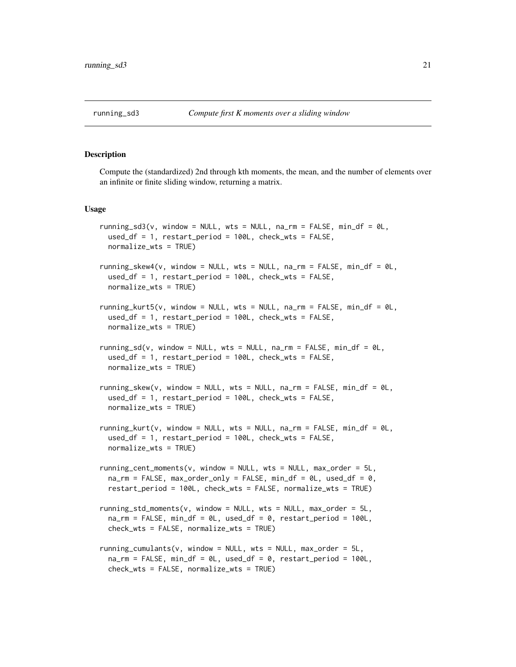<span id="page-20-2"></span><span id="page-20-0"></span>

#### <span id="page-20-1"></span>Description

Compute the (standardized) 2nd through kth moments, the mean, and the number of elements over an infinite or finite sliding window, returning a matrix.

#### Usage

```
running_sd3(v, window = NULL, wts = NULL, na_rm = FALSE, min_df = 0L,
  used_df = 1, restart_period = 100L, check_wts = FALSE,
 normalize_wts = TRUE)
running_skew4(v, window = NULL, wts = NULL, na_rm = FALSE, min_df = 0L,
  used_df = 1, restart_period = 100L, check_wts = FALSE,
  normalize_wts = TRUE)
running_kurt5(v, window = NULL, wts = NULL, na_rm = FALSE, min_df = \thetaL,
  used_df = 1, restart\_period = 100L, check\_wts = FALSE,
  normalize_wts = TRUE)
running_sd(v, window = NULL, wts = NULL, na_rm = FALSE, min_df = 0L,
 used_df = 1, restart_period = 100L, check_wts = FALSE,
 normalize_wts = TRUE)
running_skew(v, window = NULL, wts = NULL, na_rm = FALSE, min_df = 0L,
  used_df = 1, restart_period = 100L, check_wts = FALSE,
  normalize_wts = TRUE)
running_kurt(v, window = NULL, wts = NULL, na_rm = FALSE, min_df = 0L,
  used_df = 1, restart_period = 100L, check_wts = FALSE,
  normalize_wts = TRUE)
running_cent_moments(v, window = NULL, wts = NULL, max_corder = 5L,na\_rm = FALSE, max\_order\_only = FALSE, min\_df = 0, used\_df = 0,
 restart_period = 100L, check_wts = FALSE, normalize_wts = TRUE)
running_std_moments(v, window = NULL, wts = NULL, max_order = 5L,
  na_rm = FALSE, min_df = 0L, used_df = 0, restart_period = 100L,
  check_wts = FALSE, normalize_wts = TRUE)
running_cumulants(v, window = NULL, wts = NULL, max_order = 5L,
  na_rm = FALSE, min_df = 0L, used_df = 0, restart_period = 100L,
  check_wts = FALSE, normalize_wts = TRUE)
```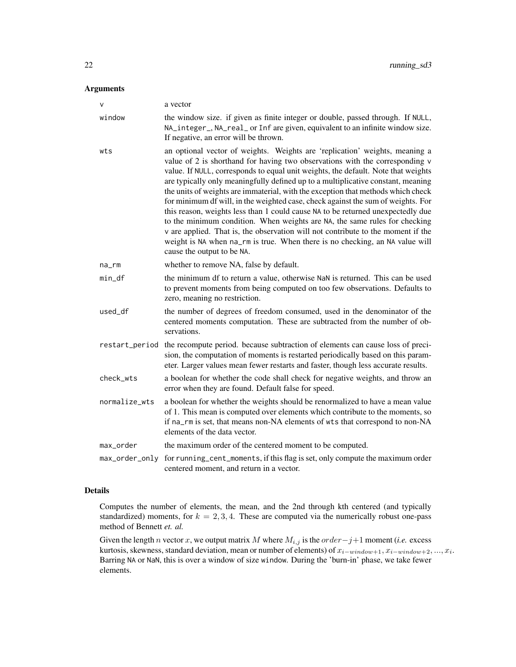### Arguments

| $\vee$         | a vector                                                                                                                                                                                                                                                                                                                                                                                                                                                                                                                                                                                                                                                                                                                                                                                                                                                                        |
|----------------|---------------------------------------------------------------------------------------------------------------------------------------------------------------------------------------------------------------------------------------------------------------------------------------------------------------------------------------------------------------------------------------------------------------------------------------------------------------------------------------------------------------------------------------------------------------------------------------------------------------------------------------------------------------------------------------------------------------------------------------------------------------------------------------------------------------------------------------------------------------------------------|
| window         | the window size. if given as finite integer or double, passed through. If NULL,<br>NA_integer_, NA_real_ or Inf are given, equivalent to an infinite window size.<br>If negative, an error will be thrown.                                                                                                                                                                                                                                                                                                                                                                                                                                                                                                                                                                                                                                                                      |
| wts            | an optional vector of weights. Weights are 'replication' weights, meaning a<br>value of 2 is shorthand for having two observations with the corresponding v<br>value. If NULL, corresponds to equal unit weights, the default. Note that weights<br>are typically only meaningfully defined up to a multiplicative constant, meaning<br>the units of weights are immaterial, with the exception that methods which check<br>for minimum df will, in the weighted case, check against the sum of weights. For<br>this reason, weights less than 1 could cause NA to be returned unexpectedly due<br>to the minimum condition. When weights are NA, the same rules for checking<br>v are applied. That is, the observation will not contribute to the moment if the<br>weight is NA when na_rm is true. When there is no checking, an NA value will<br>cause the output to be NA. |
| na_rm          | whether to remove NA, false by default.                                                                                                                                                                                                                                                                                                                                                                                                                                                                                                                                                                                                                                                                                                                                                                                                                                         |
| $min_d$        | the minimum df to return a value, otherwise NaN is returned. This can be used<br>to prevent moments from being computed on too few observations. Defaults to<br>zero, meaning no restriction.                                                                                                                                                                                                                                                                                                                                                                                                                                                                                                                                                                                                                                                                                   |
| used_df        | the number of degrees of freedom consumed, used in the denominator of the<br>centered moments computation. These are subtracted from the number of ob-<br>servations.                                                                                                                                                                                                                                                                                                                                                                                                                                                                                                                                                                                                                                                                                                           |
| restart_period | the recompute period. because subtraction of elements can cause loss of preci-<br>sion, the computation of moments is restarted periodically based on this param-<br>eter. Larger values mean fewer restarts and faster, though less accurate results.                                                                                                                                                                                                                                                                                                                                                                                                                                                                                                                                                                                                                          |
| check_wts      | a boolean for whether the code shall check for negative weights, and throw an<br>error when they are found. Default false for speed.                                                                                                                                                                                                                                                                                                                                                                                                                                                                                                                                                                                                                                                                                                                                            |
| normalize_wts  | a boolean for whether the weights should be renormalized to have a mean value<br>of 1. This mean is computed over elements which contribute to the moments, so<br>if na_rm is set, that means non-NA elements of wts that correspond to non-NA<br>elements of the data vector.                                                                                                                                                                                                                                                                                                                                                                                                                                                                                                                                                                                                  |
| max_order      | the maximum order of the centered moment to be computed.                                                                                                                                                                                                                                                                                                                                                                                                                                                                                                                                                                                                                                                                                                                                                                                                                        |
| max_order_only | for running_cent_moments, if this flag is set, only compute the maximum order<br>centered moment, and return in a vector.                                                                                                                                                                                                                                                                                                                                                                                                                                                                                                                                                                                                                                                                                                                                                       |

# Details

Computes the number of elements, the mean, and the 2nd through kth centered (and typically standardized) moments, for  $k = 2, 3, 4$ . These are computed via the numerically robust one-pass method of Bennett *et. al.*

Given the length *n* vector x, we output matrix M where  $M_{i,j}$  is the  $order-j+1$  moment (*i.e.* excess kurtosis, skewness, standard deviation, mean or number of elements) of  $x_{i-window+1}, x_{i-window+2}, ..., x_i$ . Barring NA or NaN, this is over a window of size window. During the 'burn-in' phase, we take fewer elements.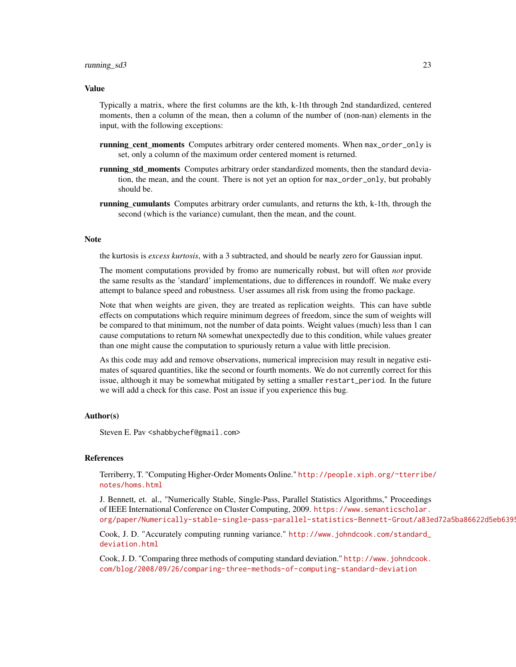#### running\_sd3 23

#### Value

Typically a matrix, where the first columns are the kth, k-1th through 2nd standardized, centered moments, then a column of the mean, then a column of the number of (non-nan) elements in the input, with the following exceptions:

- running cent moments Computes arbitrary order centered moments. When max\_order\_only is set, only a column of the maximum order centered moment is returned.
- running std moments Computes arbitrary order standardized moments, then the standard deviation, the mean, and the count. There is not yet an option for max\_order\_only, but probably should be.
- running\_cumulants Computes arbitrary order cumulants, and returns the kth, k-1th, through the second (which is the variance) cumulant, then the mean, and the count.

#### Note

the kurtosis is *excess kurtosis*, with a 3 subtracted, and should be nearly zero for Gaussian input.

The moment computations provided by fromo are numerically robust, but will often *not* provide the same results as the 'standard' implementations, due to differences in roundoff. We make every attempt to balance speed and robustness. User assumes all risk from using the fromo package.

Note that when weights are given, they are treated as replication weights. This can have subtle effects on computations which require minimum degrees of freedom, since the sum of weights will be compared to that minimum, not the number of data points. Weight values (much) less than 1 can cause computations to return NA somewhat unexpectedly due to this condition, while values greater than one might cause the computation to spuriously return a value with little precision.

As this code may add and remove observations, numerical imprecision may result in negative estimates of squared quantities, like the second or fourth moments. We do not currently correct for this issue, although it may be somewhat mitigated by setting a smaller restart\_period. In the future we will add a check for this case. Post an issue if you experience this bug.

#### Author(s)

Steven E. Pav <shabbychef@gmail.com>

#### References

Terriberry, T. "Computing Higher-Order Moments Online." [http://people.xiph.org/~tterribe](http://people.xiph.org/~tterribe/notes/homs.html)/ [notes/homs.html](http://people.xiph.org/~tterribe/notes/homs.html)

J. Bennett, et. al., "Numerically Stable, Single-Pass, Parallel Statistics Algorithms," Proceedings of IEEE International Conference on Cluster Computing, 2009. [https://www.semanticscholar.](https://www.semanticscholar.org/paper/Numerically-stable-single-pass-parallel-statistics-Bennett-Grout/a83ed72a5ba86622d5eb6395299b46d51c901265) org/paper/Numerically-stable-single-pass-parallel-statistics-Bennett-Grout/a83ed72a5ba86622d5eb6399

Cook, J. D. "Accurately computing running variance." [http://www.johndcook.com/standard\\_](http://www.johndcook.com/standard_deviation.html) [deviation.html](http://www.johndcook.com/standard_deviation.html)

Cook, J. D. "Comparing three methods of computing standard deviation." [http://www.johndcook.](http://www.johndcook.com/blog/2008/09/26/comparing-three-methods-of-computing-standard-deviation) [com/blog/2008/09/26/comparing-three-methods-of-computing-standard-deviation](http://www.johndcook.com/blog/2008/09/26/comparing-three-methods-of-computing-standard-deviation)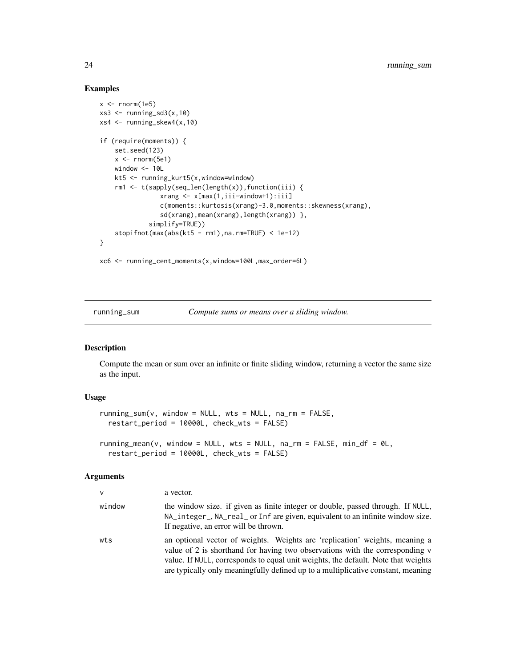#### Examples

```
x < - rnorm(1e5)
xs3 \le- running_sd3(x,10)
xs4 <- running_skew4(x,10)
if (require(moments)) {
    set.seed(123)
    x <- rnorm(5e1)
    window <-10Lkt5 <- running_kurt5(x,window=window)
    rm1 <- t(sapply(seq_len(length(x)),function(iii) {
                xrang <- x[max(1,iii-window+1):iii]
                c(moments::kurtosis(xrang)-3.0,moments::skewness(xrang),
                sd(xrang),mean(xrang),length(xrang)) },
             simplify=TRUE))
    stopifnot(max(abs(kt5 - rm1),na.rm=TRUE) < 1e-12)
}
```

```
xc6 <- running_cent_moments(x,window=100L,max_order=6L)
```
<span id="page-23-1"></span>running\_sum *Compute sums or means over a sliding window.*

# <span id="page-23-2"></span>Description

Compute the mean or sum over an infinite or finite sliding window, returning a vector the same size as the input.

#### Usage

```
running\_sum(v, window = NULL, wts = NULL, na\_rm = FALSE,restart_period = 10000L, check_wts = FALSE)
running_mean(v, window = NULL, wts = NULL, na_rm = FALSE, min_df = 0L,
  restart_period = 10000L, check_wts = FALSE)
```
#### Arguments

| $\mathsf{V}$ | a vector.                                                                                                                                                                                                                                                                                                                            |
|--------------|--------------------------------------------------------------------------------------------------------------------------------------------------------------------------------------------------------------------------------------------------------------------------------------------------------------------------------------|
| window       | the window size. if given as finite integer or double, passed through. If NULL,<br>NA_integer_, NA_real_ or Inf are given, equivalent to an infinite window size.<br>If negative, an error will be thrown.                                                                                                                           |
| wts          | an optional vector of weights. Weights are 'replication' weights, meaning a<br>value of 2 is shorthand for having two observations with the corresponding v<br>value. If NULL, corresponds to equal unit weights, the default. Note that weights<br>are typically only meaningfully defined up to a multiplicative constant, meaning |

<span id="page-23-0"></span>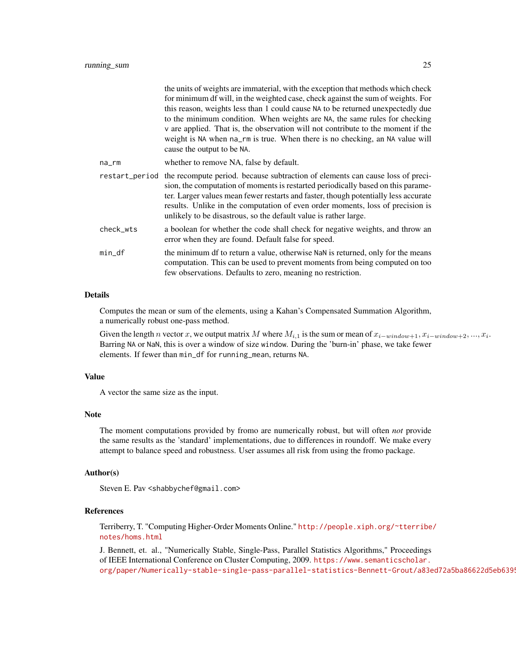|           | the units of weights are immaterial, with the exception that methods which check<br>for minimum df will, in the weighted case, check against the sum of weights. For<br>this reason, weights less than 1 could cause NA to be returned unexpectedly due<br>to the minimum condition. When weights are NA, the same rules for checking<br>v are applied. That is, the observation will not contribute to the moment if the<br>weight is NA when na_rm is true. When there is no checking, an NA value will<br>cause the output to be NA. |
|-----------|-----------------------------------------------------------------------------------------------------------------------------------------------------------------------------------------------------------------------------------------------------------------------------------------------------------------------------------------------------------------------------------------------------------------------------------------------------------------------------------------------------------------------------------------|
| na_rm     | whether to remove NA, false by default.                                                                                                                                                                                                                                                                                                                                                                                                                                                                                                 |
|           | restart_period the recompute period. because subtraction of elements can cause loss of preci-<br>sion, the computation of moments is restarted periodically based on this parame-<br>ter. Larger values mean fewer restarts and faster, though potentially less accurate<br>results. Unlike in the computation of even order moments, loss of precision is<br>unlikely to be disastrous, so the default value is rather large.                                                                                                          |
| check wts | a boolean for whether the code shall check for negative weights, and throw an<br>error when they are found. Default false for speed.                                                                                                                                                                                                                                                                                                                                                                                                    |
| $min_d$   | the minimum df to return a value, otherwise NaN is returned, only for the means<br>computation. This can be used to prevent moments from being computed on too<br>few observations. Defaults to zero, meaning no restriction.                                                                                                                                                                                                                                                                                                           |

#### Details

Computes the mean or sum of the elements, using a Kahan's Compensated Summation Algorithm, a numerically robust one-pass method.

Given the length n vector x, we output matrix M where  $M_{i,1}$  is the sum or mean of  $x_{i-window+1}, x_{i-window+2}, ..., x_i$ . Barring NA or NaN, this is over a window of size window. During the 'burn-in' phase, we take fewer elements. If fewer than min\_df for running\_mean, returns NA.

#### Value

A vector the same size as the input.

#### Note

The moment computations provided by fromo are numerically robust, but will often *not* provide the same results as the 'standard' implementations, due to differences in roundoff. We make every attempt to balance speed and robustness. User assumes all risk from using the fromo package.

#### Author(s)

Steven E. Pav <shabbychef@gmail.com>

#### References

Terriberry, T. "Computing Higher-Order Moments Online." [http://people.xiph.org/~tterribe](http://people.xiph.org/~tterribe/notes/homs.html)/ [notes/homs.html](http://people.xiph.org/~tterribe/notes/homs.html)

J. Bennett, et. al., "Numerically Stable, Single-Pass, Parallel Statistics Algorithms," Proceedings of IEEE International Conference on Cluster Computing, 2009. [https://www.semanticscholar.](https://www.semanticscholar.org/paper/Numerically-stable-single-pass-parallel-statistics-Bennett-Grout/a83ed72a5ba86622d5eb6395299b46d51c901265) org/paper/Numerically-stable-single-pass-parallel-statistics-Bennett-Grout/a83ed72a5ba86622d5eb6399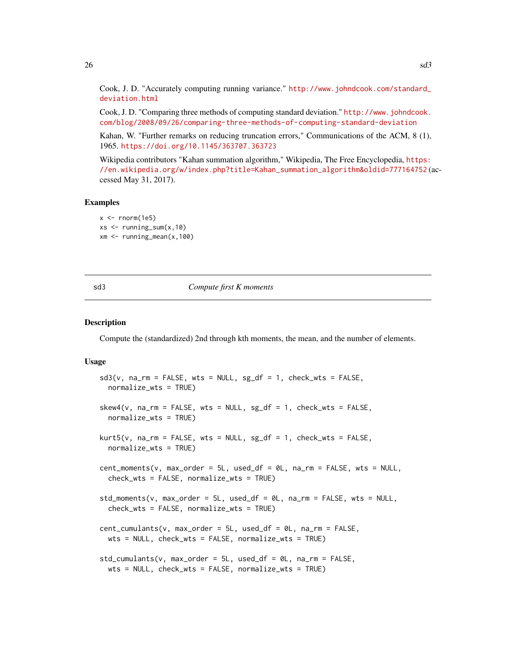<span id="page-25-0"></span>Cook, J. D. "Accurately computing running variance." [http://www.johndcook.com/standard\\_](http://www.johndcook.com/standard_deviation.html) [deviation.html](http://www.johndcook.com/standard_deviation.html)

Cook, J. D. "Comparing three methods of computing standard deviation." [http://www.johndcook.](http://www.johndcook.com/blog/2008/09/26/comparing-three-methods-of-computing-standard-deviation) [com/blog/2008/09/26/comparing-three-methods-of-computing-standard-deviation](http://www.johndcook.com/blog/2008/09/26/comparing-three-methods-of-computing-standard-deviation)

Kahan, W. "Further remarks on reducing truncation errors," Communications of the ACM, 8 (1), 1965. <https://doi.org/10.1145/363707.363723>

Wikipedia contributors "Kahan summation algorithm," Wikipedia, The Free Encyclopedia, [https:](https://en.wikipedia.org/w/index.php?title=Kahan_summation_algorithm&oldid=777164752) [//en.wikipedia.org/w/index.php?title=Kahan\\_summation\\_algorithm&oldid=777164752](https://en.wikipedia.org/w/index.php?title=Kahan_summation_algorithm&oldid=777164752) (accessed May 31, 2017).

#### Examples

```
x < - rnorm(1e5)
xs < - running_sum(x,10)xm <- running_mean(x,100)
```
#### sd3 *Compute first K moments*

#### Description

Compute the (standardized) 2nd through kth moments, the mean, and the number of elements.

#### Usage

```
sd3(v, na_rm = FALSE, wts = NULL, sg_df = 1, check_wts = FALSE,normalize_wts = TRUE)
skew4(v, na_rm = FALSE, wts = NULL, sg_df = 1, check_wts = FALSE,normalize_wts = TRUE)
kurt5(v, na_rm = FALSE, wts = NULL, sg_df = 1, check_wts = FALSE,
  normalize_wts = TRUE)
cent_moments(v, max_order = 5L, used_df = 0L, na_rm = FALSE, wts = NULL,
  check_wts = FALSE, normalize_wts = TRUE)
std_moments(v, max-order = 5L, used_df = 0L, na_rm = FALSE, wts = NULL,check_wts = FALSE, normalize_wts = TRUE)
cent_cumulants(v, max_order = 5L, used_df = 0L, na_rm = FALSE,
 wts = NULL, check_wts = FALSE, normalize_wts = TRUE)
std_cumulants(v, max_order = 5L, used_df = 0L, na_rm = FALSE,
 wts = NULL, check_wts = FALSE, normalize_wts = TRUE)
```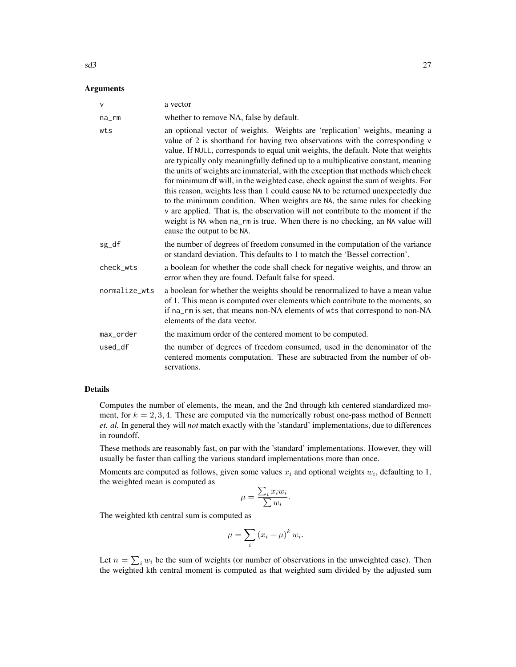#### $sd3$  27

#### Arguments

| $\vee$        | a vector                                                                                                                                                                                                                                                                                                                                                                                                                                                                                                                                                                                                                                                                                                                                                                                                                                                                        |
|---------------|---------------------------------------------------------------------------------------------------------------------------------------------------------------------------------------------------------------------------------------------------------------------------------------------------------------------------------------------------------------------------------------------------------------------------------------------------------------------------------------------------------------------------------------------------------------------------------------------------------------------------------------------------------------------------------------------------------------------------------------------------------------------------------------------------------------------------------------------------------------------------------|
| na_rm         | whether to remove NA, false by default.                                                                                                                                                                                                                                                                                                                                                                                                                                                                                                                                                                                                                                                                                                                                                                                                                                         |
| wts           | an optional vector of weights. Weights are 'replication' weights, meaning a<br>value of 2 is shorthand for having two observations with the corresponding v<br>value. If NULL, corresponds to equal unit weights, the default. Note that weights<br>are typically only meaningfully defined up to a multiplicative constant, meaning<br>the units of weights are immaterial, with the exception that methods which check<br>for minimum df will, in the weighted case, check against the sum of weights. For<br>this reason, weights less than 1 could cause NA to be returned unexpectedly due<br>to the minimum condition. When weights are NA, the same rules for checking<br>v are applied. That is, the observation will not contribute to the moment if the<br>weight is NA when na_rm is true. When there is no checking, an NA value will<br>cause the output to be NA. |
| sg_df         | the number of degrees of freedom consumed in the computation of the variance<br>or standard deviation. This defaults to 1 to match the 'Bessel correction'.                                                                                                                                                                                                                                                                                                                                                                                                                                                                                                                                                                                                                                                                                                                     |
| check_wts     | a boolean for whether the code shall check for negative weights, and throw an<br>error when they are found. Default false for speed.                                                                                                                                                                                                                                                                                                                                                                                                                                                                                                                                                                                                                                                                                                                                            |
| normalize_wts | a boolean for whether the weights should be renormalized to have a mean value<br>of 1. This mean is computed over elements which contribute to the moments, so<br>if na_rm is set, that means non-NA elements of wts that correspond to non-NA<br>elements of the data vector.                                                                                                                                                                                                                                                                                                                                                                                                                                                                                                                                                                                                  |
| max_order     | the maximum order of the centered moment to be computed.                                                                                                                                                                                                                                                                                                                                                                                                                                                                                                                                                                                                                                                                                                                                                                                                                        |
| used df       | the number of degrees of freedom consumed, used in the denominator of the<br>centered moments computation. These are subtracted from the number of ob-<br>servations.                                                                                                                                                                                                                                                                                                                                                                                                                                                                                                                                                                                                                                                                                                           |

# Details

Computes the number of elements, the mean, and the 2nd through kth centered standardized moment, for  $k = 2, 3, 4$ . These are computed via the numerically robust one-pass method of Bennett *et. al.* In general they will *not* match exactly with the 'standard' implementations, due to differences in roundoff.

These methods are reasonably fast, on par with the 'standard' implementations. However, they will usually be faster than calling the various standard implementations more than once.

Moments are computed as follows, given some values  $x_i$  and optional weights  $w_i$ , defaulting to 1, the weighted mean is computed as

$$
\mu = \frac{\sum_i x_i w_i}{\sum w_i}.
$$

The weighted kth central sum is computed as

$$
\mu = \sum_{i} (x_i - \mu)^k w_i.
$$

Let  $n = \sum_i w_i$  be the sum of weights (or number of observations in the unweighted case). Then the weighted kth central moment is computed as that weighted sum divided by the adjusted sum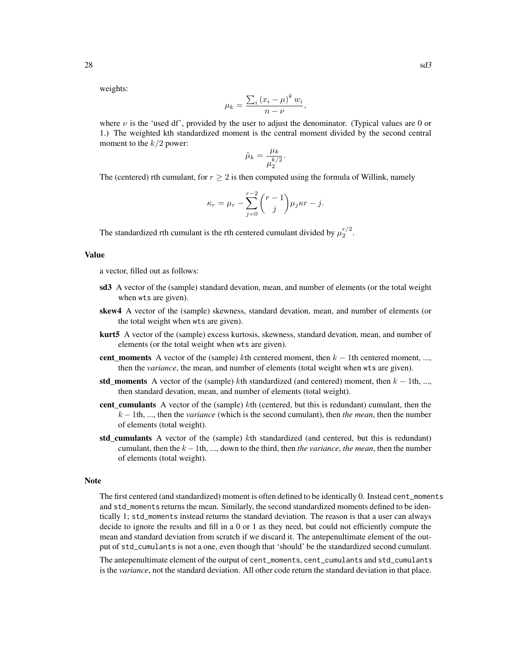weights:

$$
\mu_k = \frac{\sum_i (x_i - \mu)^k w_i}{n - \nu},
$$

where  $\nu$  is the 'used df', provided by the user to adjust the denominator. (Typical values are 0 or 1.) The weighted kth standardized moment is the central moment divided by the second central moment to the  $k/2$  power:

$$
\tilde{\mu}_k = \frac{\mu_k}{\mu_2^{k/2}}.
$$

The (centered) rth cumulant, for  $r \geq 2$  is then computed using the formula of Willink, namely

$$
\kappa_r = \mu_r - \sum_{j=0}^{r-2} {r-1 \choose j} \mu_j \kappa r - j.
$$

The standardized rth cumulant is the rth centered cumulant divided by  $\mu_2^{r/2}$ .

#### Value

a vector, filled out as follows:

- sd3 A vector of the (sample) standard devation, mean, and number of elements (or the total weight when wts are given).
- skew4 A vector of the (sample) skewness, standard devation, mean, and number of elements (or the total weight when wts are given).
- kurt5 A vector of the (sample) excess kurtosis, skewness, standard devation, mean, and number of elements (or the total weight when wts are given).
- cent moments A vector of the (sample) kth centered moment, then  $k 1$ th centered moment, ..., then the *variance*, the mean, and number of elements (total weight when wts are given).
- std\_moments A vector of the (sample) kth standardized (and centered) moment, then  $k 1$ th, ..., then standard devation, mean, and number of elements (total weight).
- cent cumulants A vector of the (sample) kth (centered, but this is redundant) cumulant, then the k − 1th, ..., then the *variance* (which is the second cumulant), then *the mean*, then the number of elements (total weight).
- std cumulants A vector of the (sample) kth standardized (and centered, but this is redundant) cumulant, then the  $k - 1$ th, ..., down to the third, then *the variance*, *the mean*, then the number of elements (total weight).

#### **Note**

The first centered (and standardized) moment is often defined to be identically 0. Instead cent\_moments and std\_moments returns the mean. Similarly, the second standardized moments defined to be identically 1; std\_moments instead returns the standard deviation. The reason is that a user can always decide to ignore the results and fill in a 0 or 1 as they need, but could not efficiently compute the mean and standard deviation from scratch if we discard it. The antepenultimate element of the output of std\_cumulants is not a one, even though that 'should' be the standardized second cumulant.

The antepenultimate element of the output of cent\_moments, cent\_cumulants and std\_cumulants is the *variance*, not the standard deviation. All other code return the standard deviation in that place.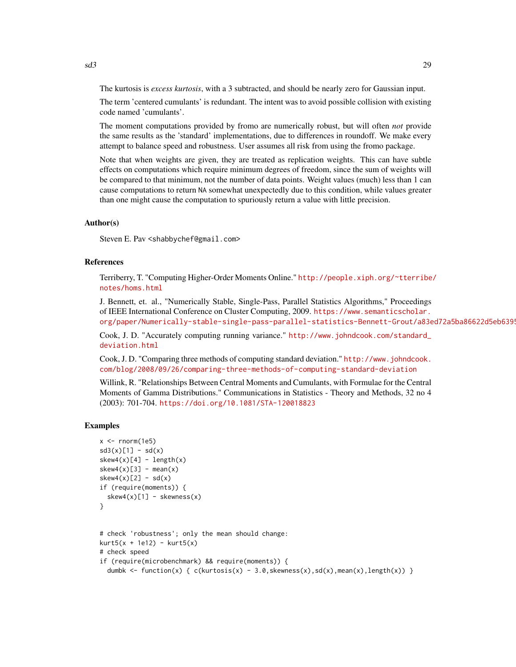The kurtosis is *excess kurtosis*, with a 3 subtracted, and should be nearly zero for Gaussian input.

The term 'centered cumulants' is redundant. The intent was to avoid possible collision with existing code named 'cumulants'.

The moment computations provided by fromo are numerically robust, but will often *not* provide the same results as the 'standard' implementations, due to differences in roundoff. We make every attempt to balance speed and robustness. User assumes all risk from using the fromo package.

Note that when weights are given, they are treated as replication weights. This can have subtle effects on computations which require minimum degrees of freedom, since the sum of weights will be compared to that minimum, not the number of data points. Weight values (much) less than 1 can cause computations to return NA somewhat unexpectedly due to this condition, while values greater than one might cause the computation to spuriously return a value with little precision.

#### Author(s)

Steven E. Pav <shabbychef@gmail.com>

#### References

Terriberry, T. "Computing Higher-Order Moments Online." [http://people.xiph.org/~tterribe](http://people.xiph.org/~tterribe/notes/homs.html)/ [notes/homs.html](http://people.xiph.org/~tterribe/notes/homs.html)

J. Bennett, et. al., "Numerically Stable, Single-Pass, Parallel Statistics Algorithms," Proceedings of IEEE International Conference on Cluster Computing, 2009. [https://www.semanticscholar.](https://www.semanticscholar.org/paper/Numerically-stable-single-pass-parallel-statistics-Bennett-Grout/a83ed72a5ba86622d5eb6395299b46d51c901265) org/paper/Numerically-stable-single-pass-parallel-statistics-Bennett-Grout/a83ed72a5ba86622d5eb639!

Cook, J. D. "Accurately computing running variance." [http://www.johndcook.com/standard\\_](http://www.johndcook.com/standard_deviation.html) [deviation.html](http://www.johndcook.com/standard_deviation.html)

Cook, J. D. "Comparing three methods of computing standard deviation." [http://www.johndcook.](http://www.johndcook.com/blog/2008/09/26/comparing-three-methods-of-computing-standard-deviation) [com/blog/2008/09/26/comparing-three-methods-of-computing-standard-deviation](http://www.johndcook.com/blog/2008/09/26/comparing-three-methods-of-computing-standard-deviation)

Willink, R. "Relationships Between Central Moments and Cumulants, with Formulae for the Central Moments of Gamma Distributions." Communications in Statistics - Theory and Methods, 32 no 4 (2003): 701-704. <https://doi.org/10.1081/STA-120018823>

#### Examples

```
x \le - rnorm(1e5)
sd3(x)[1] - sd(x)skew4(x)[4] - length(x)skew4(x)[3] - mean(x)skew4(x)[2] - sd(x)if (require(moments)) {
  skew4(x)[1] - skewness(x)
}
# check 'robustness'; only the mean should change:
kurt5(x + 1e12) - kurt5(x)# check speed
if (require(microbenchmark) && require(moments)) {
 dumbk \le function(x) { c(kurtosis(x) - 3.0, skewness(x), sd(x), mean(x), length(x)) }
```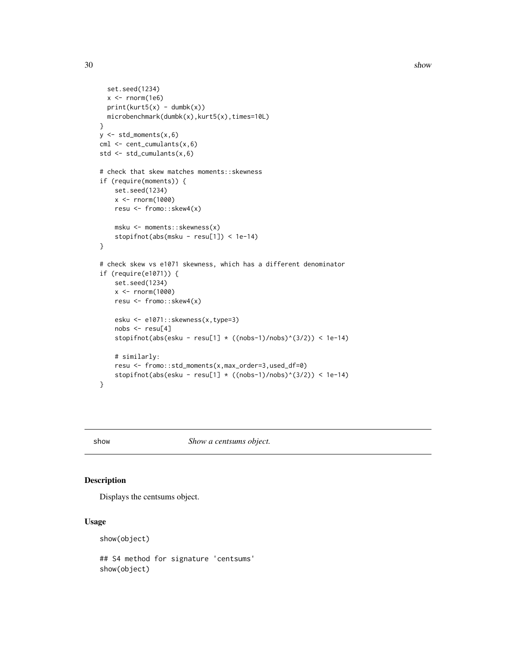```
set.seed(1234)
  x < - rnorm(1e6)
  print(kurt5(x) - dumbk(x))microbenchmark(dumbk(x),kurt5(x),times=10L)
}
y \leftarrow std_moments(x, 6)cm1 < -cent_cumulants(x, 6)std <- std_cumulants(x,6)
# check that skew matches moments::skewness
if (require(moments)) {
    set.seed(1234)
    x < - rnorm(1000)
    resu <- fromo::skew4(x)
    msku <- moments::skewness(x)
    stopifnot(abs(msku - resu[1]) < 1e-14)
}
# check skew vs e1071 skewness, which has a different denominator
if (require(e1071)) {
    set.seed(1234)
   x <- rnorm(1000)
   resu <- fromo::skew4(x)
    esku <- e1071::skewness(x,type=3)
   nobs <- resu[4]
    stopifnot(abs(esku - resu[1] * ((nobs-1)/nobs)^(3/2)) < 1e-14)
    # similarly:
    resu <- fromo::std_moments(x,max_order=3,used_df=0)
    stopifnot(abs(esku - resu[1] * ((nobs-1)/nobs)^(3/2)) < 1e-14)
}
```
show *Show a centsums object.*

#### Description

Displays the centsums object.

#### Usage

show(object)

## S4 method for signature 'centsums' show(object)

<span id="page-29-0"></span>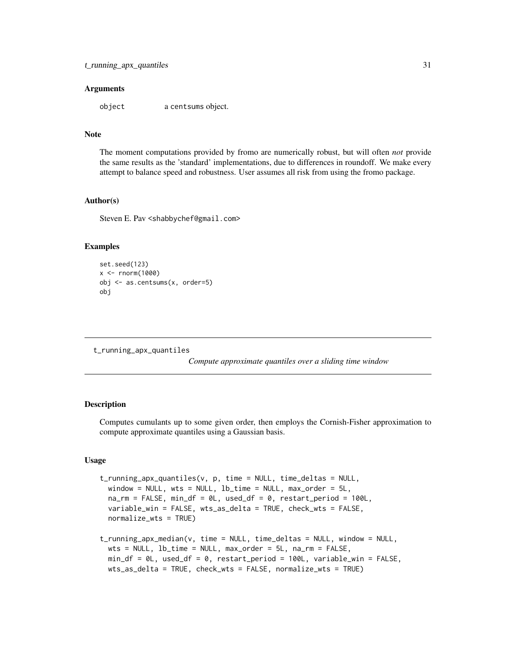#### <span id="page-30-0"></span>Arguments

object a centsums object.

# Note

The moment computations provided by fromo are numerically robust, but will often *not* provide the same results as the 'standard' implementations, due to differences in roundoff. We make every attempt to balance speed and robustness. User assumes all risk from using the fromo package.

#### Author(s)

Steven E. Pav <shabbychef@gmail.com>

#### Examples

```
set.seed(123)
x < - rnorm(1000)
obj <- as.centsums(x, order=5)
obj
```
<span id="page-30-1"></span>t\_running\_apx\_quantiles

*Compute approximate quantiles over a sliding time window*

#### **Description**

Computes cumulants up to some given order, then employs the Cornish-Fisher approximation to compute approximate quantiles using a Gaussian basis.

#### Usage

```
t_running_apx_quantiles(v, p, time = NULL, time_deltas = NULL,
  window = NULL, wts = NULL, lb_time = NULL, max_order = 5L,
  na\_rm = FALSE, min\_df = 0L, used\_df = 0, restart\_period = 100L,variable_win = FALSE, wts_as_delta = TRUE, check_wts = FALSE,
  normalize_wts = TRUE)
t_running_apx_median(v, time = NULL, time_deltas = NULL, window = NULL,
  wts = NULL, lb_time = NULL, max</u>  = <math>5L, na rm = FALSE,
 min_df = 0L, used_df = 0, restart_period = 100L, variable_win = FALSE,
```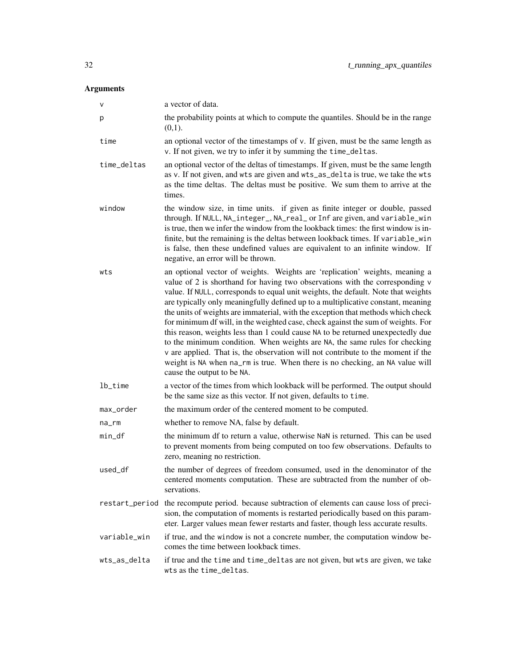# Arguments

| V              | a vector of data.                                                                                                                                                                                                                                                                                                                                                                                                                                                                                                                                                                                                                                                                                                                                                                                                                                                               |
|----------------|---------------------------------------------------------------------------------------------------------------------------------------------------------------------------------------------------------------------------------------------------------------------------------------------------------------------------------------------------------------------------------------------------------------------------------------------------------------------------------------------------------------------------------------------------------------------------------------------------------------------------------------------------------------------------------------------------------------------------------------------------------------------------------------------------------------------------------------------------------------------------------|
| p              | the probability points at which to compute the quantiles. Should be in the range<br>(0,1).                                                                                                                                                                                                                                                                                                                                                                                                                                                                                                                                                                                                                                                                                                                                                                                      |
| time           | an optional vector of the timestamps of v. If given, must be the same length as<br>v. If not given, we try to infer it by summing the time_deltas.                                                                                                                                                                                                                                                                                                                                                                                                                                                                                                                                                                                                                                                                                                                              |
| time_deltas    | an optional vector of the deltas of timestamps. If given, must be the same length<br>as v. If not given, and wts are given and wts_as_delta is true, we take the wts<br>as the time deltas. The deltas must be positive. We sum them to arrive at the<br>times.                                                                                                                                                                                                                                                                                                                                                                                                                                                                                                                                                                                                                 |
| window         | the window size, in time units. if given as finite integer or double, passed<br>through. If NULL, NA_integer_, NA_real_ or Inf are given, and variable_win<br>is true, then we infer the window from the lookback times: the first window is in-<br>finite, but the remaining is the deltas between lookback times. If variable_win<br>is false, then these undefined values are equivalent to an infinite window. If<br>negative, an error will be thrown.                                                                                                                                                                                                                                                                                                                                                                                                                     |
| wts            | an optional vector of weights. Weights are 'replication' weights, meaning a<br>value of 2 is shorthand for having two observations with the corresponding v<br>value. If NULL, corresponds to equal unit weights, the default. Note that weights<br>are typically only meaningfully defined up to a multiplicative constant, meaning<br>the units of weights are immaterial, with the exception that methods which check<br>for minimum df will, in the weighted case, check against the sum of weights. For<br>this reason, weights less than 1 could cause NA to be returned unexpectedly due<br>to the minimum condition. When weights are NA, the same rules for checking<br>v are applied. That is, the observation will not contribute to the moment if the<br>weight is NA when na_rm is true. When there is no checking, an NA value will<br>cause the output to be NA. |
| lb_time        | a vector of the times from which lookback will be performed. The output should<br>be the same size as this vector. If not given, defaults to time.                                                                                                                                                                                                                                                                                                                                                                                                                                                                                                                                                                                                                                                                                                                              |
| max_order      | the maximum order of the centered moment to be computed.                                                                                                                                                                                                                                                                                                                                                                                                                                                                                                                                                                                                                                                                                                                                                                                                                        |
| na_rm          | whether to remove NA, false by default.                                                                                                                                                                                                                                                                                                                                                                                                                                                                                                                                                                                                                                                                                                                                                                                                                                         |
| min_df         | the minimum df to return a value, otherwise NaN is returned. This can be used<br>to prevent moments from being computed on too few observations. Defaults to<br>zero, meaning no restriction.                                                                                                                                                                                                                                                                                                                                                                                                                                                                                                                                                                                                                                                                                   |
| used_df        | the number of degrees of freedom consumed, used in the denominator of the<br>centered moments computation. These are subtracted from the number of ob-<br>servations.                                                                                                                                                                                                                                                                                                                                                                                                                                                                                                                                                                                                                                                                                                           |
| restart_period | the recompute period. because subtraction of elements can cause loss of preci-<br>sion, the computation of moments is restarted periodically based on this param-<br>eter. Larger values mean fewer restarts and faster, though less accurate results.                                                                                                                                                                                                                                                                                                                                                                                                                                                                                                                                                                                                                          |
| variable_win   | if true, and the window is not a concrete number, the computation window be-<br>comes the time between lookback times.                                                                                                                                                                                                                                                                                                                                                                                                                                                                                                                                                                                                                                                                                                                                                          |
| wts_as_delta   | if true and the time and time_deltas are not given, but wts are given, we take<br>wts as the time_deltas.                                                                                                                                                                                                                                                                                                                                                                                                                                                                                                                                                                                                                                                                                                                                                                       |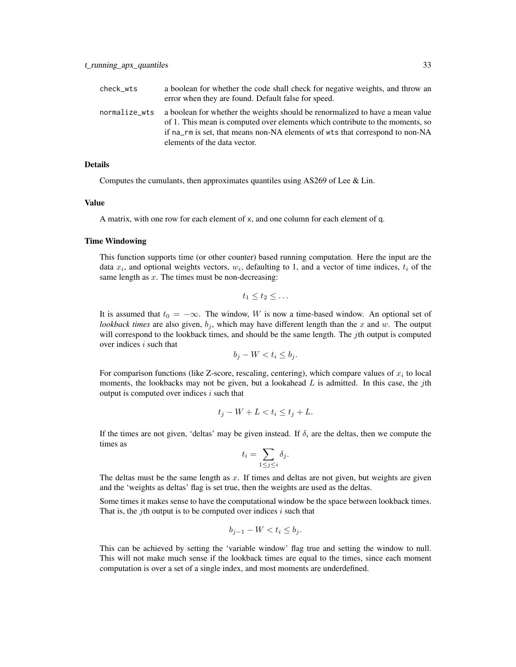| check_wts     | a boolean for whether the code shall check for negative weights, and throw an<br>error when they are found. Default false for speed.                                                                                                                                           |
|---------------|--------------------------------------------------------------------------------------------------------------------------------------------------------------------------------------------------------------------------------------------------------------------------------|
| normalize_wts | a boolean for whether the weights should be renormalized to have a mean value<br>of 1. This mean is computed over elements which contribute to the moments, so<br>if na_rm is set, that means non-NA elements of wts that correspond to non-NA<br>elements of the data vector. |

#### Details

Computes the cumulants, then approximates quantiles using AS269 of Lee & Lin.

#### Value

A matrix, with one row for each element of x, and one column for each element of q.

# Time Windowing

This function supports time (or other counter) based running computation. Here the input are the data  $x_i$ , and optional weights vectors,  $w_i$ , defaulting to 1, and a vector of time indices,  $t_i$  of the same length as  $x$ . The times must be non-decreasing:

$$
t_1\leq t_2\leq \ldots
$$

It is assumed that  $t_0 = -\infty$ . The window, W is now a time-based window. An optional set of *lookback times* are also given,  $b_j$ , which may have different length than the x and w. The output will correspond to the lookback times, and should be the same length. The  $j$ th output is computed over indices  $i$  such that

$$
b_j - W < t_i \le b_j.
$$

For comparison functions (like Z-score, rescaling, centering), which compare values of  $x_i$  to local moments, the lookbacks may not be given, but a lookahead  $L$  is admitted. In this case, the jth output is computed over indices  $i$  such that

$$
t_j - W + L < t_i \le t_j + L.
$$

If the times are not given, 'deltas' may be given instead. If  $\delta_i$  are the deltas, then we compute the times as

$$
t_i = \sum_{1 \le j \le i} \delta_j.
$$

The deltas must be the same length as  $x$ . If times and deltas are not given, but weights are given and the 'weights as deltas' flag is set true, then the weights are used as the deltas.

Some times it makes sense to have the computational window be the space between lookback times. That is, the *j*th output is to be computed over indices  $i$  such that

$$
b_{j-1} - W < t_i \le b_j.
$$

This can be achieved by setting the 'variable window' flag true and setting the window to null. This will not make much sense if the lookback times are equal to the times, since each moment computation is over a set of a single index, and most moments are underdefined.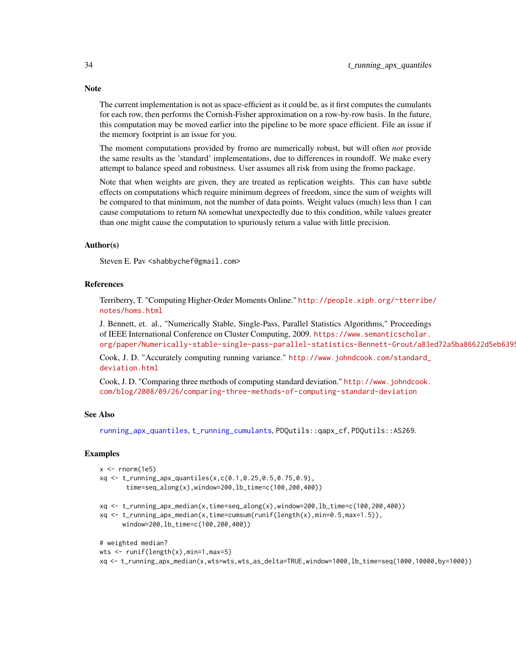The current implementation is not as space-efficient as it could be, as it first computes the cumulants for each row, then performs the Cornish-Fisher approximation on a row-by-row basis. In the future, this computation may be moved earlier into the pipeline to be more space efficient. File an issue if the memory footprint is an issue for you.

The moment computations provided by fromo are numerically robust, but will often *not* provide the same results as the 'standard' implementations, due to differences in roundoff. We make every attempt to balance speed and robustness. User assumes all risk from using the fromo package.

Note that when weights are given, they are treated as replication weights. This can have subtle effects on computations which require minimum degrees of freedom, since the sum of weights will be compared to that minimum, not the number of data points. Weight values (much) less than 1 can cause computations to return NA somewhat unexpectedly due to this condition, while values greater than one might cause the computation to spuriously return a value with little precision.

#### Author(s)

Steven E. Pav <shabbychef@gmail.com>

#### References

Terriberry, T. "Computing Higher-Order Moments Online." [http://people.xiph.org/~tterribe](http://people.xiph.org/~tterribe/notes/homs.html)/ [notes/homs.html](http://people.xiph.org/~tterribe/notes/homs.html)

J. Bennett, et. al., "Numerically Stable, Single-Pass, Parallel Statistics Algorithms," Proceedings of IEEE International Conference on Cluster Computing, 2009. [https://www.semanticscholar.](https://www.semanticscholar.org/paper/Numerically-stable-single-pass-parallel-statistics-Bennett-Grout/a83ed72a5ba86622d5eb6395299b46d51c901265) org/paper/Numerically-stable-single-pass-parallel-statistics-Bennett-Grout/a83ed72a5ba86622d5eb6399

Cook, J. D. "Accurately computing running variance." [http://www.johndcook.com/standard\\_](http://www.johndcook.com/standard_deviation.html) [deviation.html](http://www.johndcook.com/standard_deviation.html)

Cook, J. D. "Comparing three methods of computing standard deviation." [http://www.johndcook.](http://www.johndcook.com/blog/2008/09/26/comparing-three-methods-of-computing-standard-deviation) [com/blog/2008/09/26/comparing-three-methods-of-computing-standard-deviation](http://www.johndcook.com/blog/2008/09/26/comparing-three-methods-of-computing-standard-deviation)

#### See Also

[running\\_apx\\_quantiles](#page-14-1), [t\\_running\\_cumulants](#page-38-1), PDQutils::qapx\_cf, PDQutils::AS269.

#### Examples

```
x \leq -rnorm(1e5)
```
xq <- t\_running\_apx\_quantiles(x,c(0.1,0.25,0.5,0.75,0.9), time=seq\_along(x),window=200,lb\_time=c(100,200,400))

xq <- t\_running\_apx\_median(x,time=seq\_along(x),window=200,lb\_time=c(100,200,400))

xq <- t\_running\_apx\_median(x,time=cumsum(runif(length(x),min=0.5,max=1.5)), window=200,lb\_time=c(100,200,400))

# weighted median?

```
wts <- runif(length(x),min=1,max=5)
```
xq <- t\_running\_apx\_median(x,wts=wts,wts\_as\_delta=TRUE,window=1000,lb\_time=seq(1000,10000,by=1000))

<span id="page-33-0"></span>

# **Note**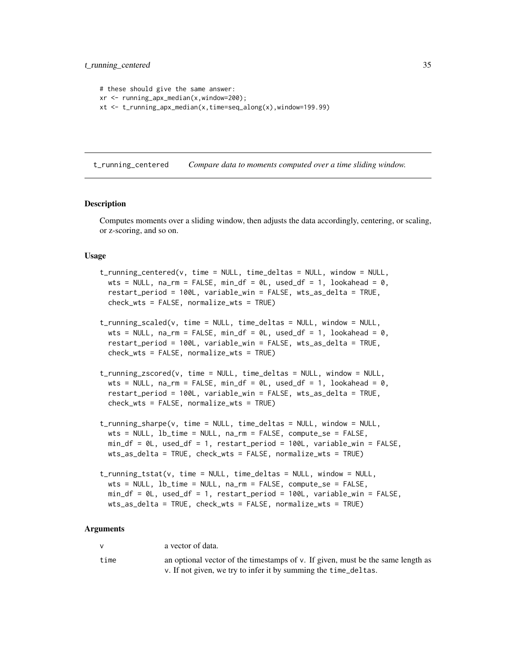```
# these should give the same answer:
xr <- running_apx_median(x,window=200);
xt <- t_running_apx_median(x,time=seq_along(x),window=199.99)
```
<span id="page-34-1"></span>t\_running\_centered *Compare data to moments computed over a time sliding window.*

#### Description

Computes moments over a sliding window, then adjusts the data accordingly, centering, or scaling, or z-scoring, and so on.

#### Usage

```
t_running_centered(v, time = NULL, time_deltas = NULL, window = NULL,
 wts = NULL, na\_rm = FALSE, min\_df = 0L, used_df = 1, lookahead = 0,
  restart_period = 100L, variable_win = FALSE, wts_as_delta = TRUE,
  check_wts = FALSE, normalize_wts = TRUE)
```
- t\_running\_scaled(v, time = NULL, time\_deltas = NULL, window = NULL, wts = NULL,  $na\_rm = FALSE, min\_df = 0L$ , used\_df = 1, lookahead = 0, restart\_period = 100L, variable\_win = FALSE, wts\_as\_delta = TRUE,  $check_wts = FALSE$ , normalize\_wts = TRUE)
- t\_running\_zscored(v, time = NULL, time\_deltas = NULL, window = NULL, wts = NULL,  $na\_rm = FALSE, min\_df = 0L$ , used\_df = 1, lookahead = 0, restart\_period = 100L, variable\_win = FALSE, wts\_as\_delta = TRUE, check\_wts = FALSE, normalize\_wts = TRUE)
- t\_running\_sharpe(v, time = NULL, time\_deltas = NULL, window = NULL,  $wts = NULL$ ,  $lb_time = NULL$ ,  $na_rm = FALSE$ , compute\_se = FALSE, min\_df = 0L, used\_df = 1, restart\_period = 100L, variable\_win = FALSE, wts\_as\_delta = TRUE, check\_wts = FALSE, normalize\_wts = TRUE)

```
t_running_tstat(v, time = NULL, time_deltas = NULL, window = NULL,
 wts = NULL, lb_time = NULL, na_rm = FALSE, compute_se = FALSE,
 min_df = 0L, used_df = 1, restart_period = 100L, variable_win = FALSE,
 wts_as_delta = TRUE, check_wts = FALSE, normalize_wts = TRUE)
```
#### Arguments

| $\mathsf{v}$ | a vector of data.                                                                  |
|--------------|------------------------------------------------------------------------------------|
| time         | an optional vector of the timestamps of $v$ . If given, must be the same length as |
|              | v. If not given, we try to infer it by summing the time_deltas.                    |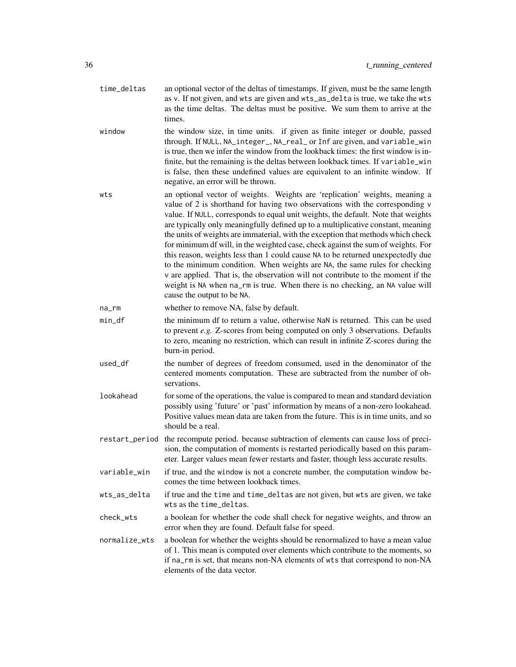- time\_deltas an optional vector of the deltas of timestamps. If given, must be the same length as v. If not given, and wts are given and wts\_as\_delta is true, we take the wts as the time deltas. The deltas must be positive. We sum them to arrive at the times.
- window the window size, in time units. if given as finite integer or double, passed through. If NULL, NA\_integer\_, NA\_real\_ or Inf are given, and variable\_win is true, then we infer the window from the lookback times: the first window is infinite, but the remaining is the deltas between lookback times. If variable\_win is false, then these undefined values are equivalent to an infinite window. If negative, an error will be thrown.
- wts an optional vector of weights. Weights are 'replication' weights, meaning a value of 2 is shorthand for having two observations with the corresponding v value. If NULL, corresponds to equal unit weights, the default. Note that weights are typically only meaningfully defined up to a multiplicative constant, meaning the units of weights are immaterial, with the exception that methods which check for minimum df will, in the weighted case, check against the sum of weights. For this reason, weights less than 1 could cause NA to be returned unexpectedly due to the minimum condition. When weights are NA, the same rules for checking v are applied. That is, the observation will not contribute to the moment if the weight is NA when na\_rm is true. When there is no checking, an NA value will cause the output to be NA.
- na\_rm whether to remove NA, false by default.
- min\_df the minimum df to return a value, otherwise NaN is returned. This can be used to prevent *e.g.* Z-scores from being computed on only 3 observations. Defaults to zero, meaning no restriction, which can result in infinite Z-scores during the burn-in period.
- used\_df the number of degrees of freedom consumed, used in the denominator of the centered moments computation. These are subtracted from the number of observations.
- lookahead for some of the operations, the value is compared to mean and standard deviation possibly using 'future' or 'past' information by means of a non-zero lookahead. Positive values mean data are taken from the future. This is in time units, and so should be a real.
- restart\_period the recompute period. because subtraction of elements can cause loss of precision, the computation of moments is restarted periodically based on this parameter. Larger values mean fewer restarts and faster, though less accurate results.
- variable\_win if true, and the window is not a concrete number, the computation window becomes the time between lookback times.
- wts\_as\_delta if true and the time and time\_deltas are not given, but wts are given, we take wts as the time\_deltas.
- check\_wts a boolean for whether the code shall check for negative weights, and throw an error when they are found. Default false for speed.
- normalize\_wts a boolean for whether the weights should be renormalized to have a mean value of 1. This mean is computed over elements which contribute to the moments, so if na\_rm is set, that means non-NA elements of wts that correspond to non-NA elements of the data vector.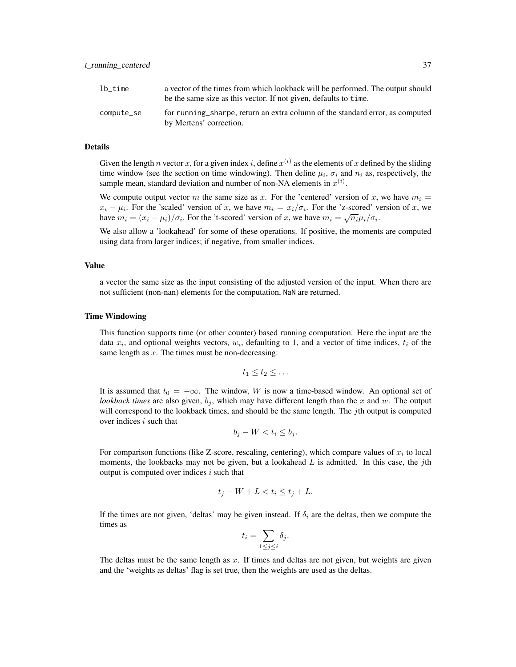| lb time    | a vector of the times from which lookback will be performed. The output should<br>be the same size as this vector. If not given, defaults to time. |
|------------|----------------------------------------------------------------------------------------------------------------------------------------------------|
| compute_se | for running sharpe, return an extra column of the standard error, as computed<br>by Mertens' correction.                                           |

#### Details

Given the length n vector x, for a given index i, define  $x^{(i)}$  as the elements of x defined by the sliding time window (see the section on time windowing). Then define  $\mu_i$ ,  $\sigma_i$  and  $n_i$  as, respectively, the sample mean, standard deviation and number of non-NA elements in  $x^{(i)}$ .

We compute output vector m the same size as x. For the 'centered' version of x, we have  $m_i =$  $x_i - \mu_i$ . For the 'scaled' version of x, we have  $m_i = x_i/\sigma_i$ . For the 'z-scored' version of x, we have  $m_i = (x_i - \mu_i)/\sigma_i$ . For the 't-scored' version of x, we have  $m_i = \sqrt{n_i} \mu_i/\sigma_i$ .

We also allow a 'lookahead' for some of these operations. If positive, the moments are computed using data from larger indices; if negative, from smaller indices.

#### Value

a vector the same size as the input consisting of the adjusted version of the input. When there are not sufficient (non-nan) elements for the computation, NaN are returned.

#### Time Windowing

This function supports time (or other counter) based running computation. Here the input are the data  $x_i$ , and optional weights vectors,  $w_i$ , defaulting to 1, and a vector of time indices,  $t_i$  of the same length as  $x$ . The times must be non-decreasing:

$$
t_1\leq t_2\leq \ldots
$$

It is assumed that  $t_0 = -\infty$ . The window, W is now a time-based window. An optional set of *lookback times* are also given,  $b_j$ , which may have different length than the x and w. The output will correspond to the lookback times, and should be the same length. The *j*th output is computed over indices  $i$  such that

$$
b_j - W < t_i \le b_j.
$$

For comparison functions (like Z-score, rescaling, centering), which compare values of  $x_i$  to local moments, the lookbacks may not be given, but a lookahead  $L$  is admitted. In this case, the jth output is computed over indices  $i$  such that

$$
t_j - W + L < t_i \le t_j + L.
$$

If the times are not given, 'deltas' may be given instead. If  $\delta_i$  are the deltas, then we compute the times as

$$
t_i = \sum_{1 \le j \le i} \delta_j.
$$

The deltas must be the same length as  $x$ . If times and deltas are not given, but weights are given and the 'weights as deltas' flag is set true, then the weights are used as the deltas.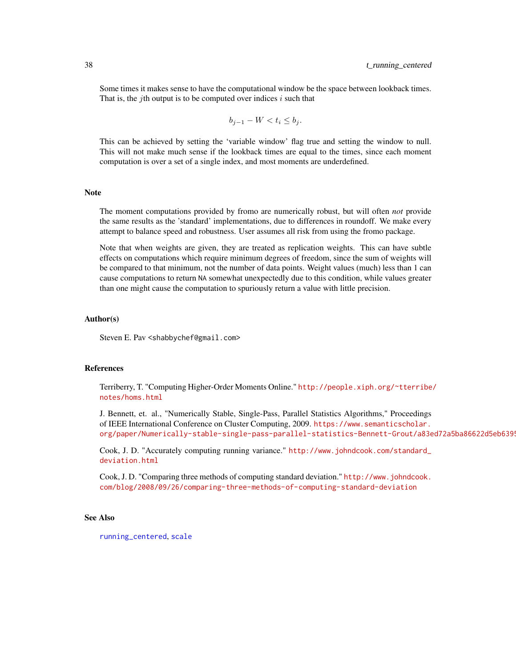<span id="page-37-0"></span>Some times it makes sense to have the computational window be the space between lookback times. That is, the *j*th output is to be computed over indices *i* such that

$$
b_{j-1} - W < t_i \le b_j.
$$

This can be achieved by setting the 'variable window' flag true and setting the window to null. This will not make much sense if the lookback times are equal to the times, since each moment computation is over a set of a single index, and most moments are underdefined.

#### **Note**

The moment computations provided by fromo are numerically robust, but will often *not* provide the same results as the 'standard' implementations, due to differences in roundoff. We make every attempt to balance speed and robustness. User assumes all risk from using the fromo package.

Note that when weights are given, they are treated as replication weights. This can have subtle effects on computations which require minimum degrees of freedom, since the sum of weights will be compared to that minimum, not the number of data points. Weight values (much) less than 1 can cause computations to return NA somewhat unexpectedly due to this condition, while values greater than one might cause the computation to spuriously return a value with little precision.

#### Author(s)

Steven E. Pav <shabbychef@gmail.com>

#### References

Terriberry, T. "Computing Higher-Order Moments Online." [http://people.xiph.org/~tterribe](http://people.xiph.org/~tterribe/notes/homs.html)/ [notes/homs.html](http://people.xiph.org/~tterribe/notes/homs.html)

J. Bennett, et. al., "Numerically Stable, Single-Pass, Parallel Statistics Algorithms," Proceedings of IEEE International Conference on Cluster Computing, 2009. [https://www.semanticscholar.](https://www.semanticscholar.org/paper/Numerically-stable-single-pass-parallel-statistics-Bennett-Grout/a83ed72a5ba86622d5eb6395299b46d51c901265) org/paper/Numerically-stable-single-pass-parallel-statistics-Bennett-Grout/a83ed72a5ba86622d5eb6399

Cook, J. D. "Accurately computing running variance." [http://www.johndcook.com/standard\\_](http://www.johndcook.com/standard_deviation.html) [deviation.html](http://www.johndcook.com/standard_deviation.html)

Cook, J. D. "Comparing three methods of computing standard deviation." [http://www.johndcook.](http://www.johndcook.com/blog/2008/09/26/comparing-three-methods-of-computing-standard-deviation) [com/blog/2008/09/26/comparing-three-methods-of-computing-standard-deviation](http://www.johndcook.com/blog/2008/09/26/comparing-three-methods-of-computing-standard-deviation)

#### See Also

[running\\_centered](#page-16-1), [scale](#page-0-0)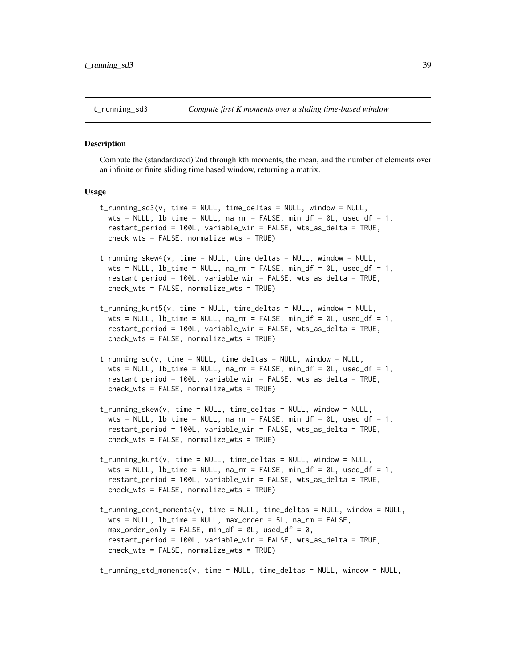#### <span id="page-38-1"></span><span id="page-38-0"></span>Description

Compute the (standardized) 2nd through kth moments, the mean, and the number of elements over an infinite or finite sliding time based window, returning a matrix.

t\_running\_sd3(v, time = NULL, time\_deltas = NULL, window = NULL,

#### Usage

```
wts = NULL, lb_time = NULL, na_rm = FALSE, min_df = 0L, used_df = 1,
 restart_period = 100L, variable_win = FALSE, wts_as_delta = TRUE,
 check_wts = FALSE, normalize_wts = TRUE)
t_running_skew4(v, time = NULL, time_deltas = NULL, window = NULL,
 wts = NULL, 1b_time = NULL, na_rm = FALSE, min_ddf = 0L, useddf = 1,
 restart_period = 100L, variable_win = FALSE, wts_as_delta = TRUE,
 check_wts = FALSE, normalize_wts = TRUE)
t_running_kurt5(v, time = NULL, time_deltas = NULL, window = NULL,
 wts = NULL, lb_time = NULL, na_rm = FALSE, min_d f = 0L, used_d f = 1,
 restart_period = 100L, variable_win = FALSE, wts_as_delta = TRUE,
 check_wts = FALSE, normalize_wts = TRUE)
t_running_sd(v, time = NULL, time_deltas = NULL, window = NULL,
 wts = NULL, 1b_time = NULL, na_rm = FALSE, min_ddf = 0L, useddf = 1,
 restart_period = 100L, variable_win = FALSE, wts_as_delta = TRUE,
 check_wts = FALSE, normalize_wts = TRUE)
t_running_skew(v, time = NULL, time_deltas = NULL, window = NULL,
 wts = NULL, 1b_time = NULL, na_rm = FALSE, min_ddf = 0L, useddf = 1,
 restart_period = 100L, variable_win = FALSE, wts_as_delta = TRUE,
 check_wts = FALSE, normalize_wts = TRUE)
t_running_kurt(v, time = NULL, time_deltas = NULL, window = NULL,
 wts = NULL, lb_time = NULL, na_rm = FALSE, min_d f = 0L, used_d f = 1,
 restart_period = 100L, variable_win = FALSE, wts_as_delta = TRUE,
 check_wts = FALSE, normalize_wts = TRUE)
t_running_cent_moments(v, time = NULL, time_deltas = NULL, window = NULL,
 wts = NULL, lb_time = NULL, max_order = 5L, na_rm = FALSE,
 max_corder_conly = FALSE, min_cdf = 0, used_cdf = 0,restart_period = 100L, variable_win = FALSE, wts_as_delta = TRUE,
 check_wts = FALSE, normalize_wts = TRUE)
t_running_std_moments(v, time = NULL, time_deltas = NULL, window = NULL,
```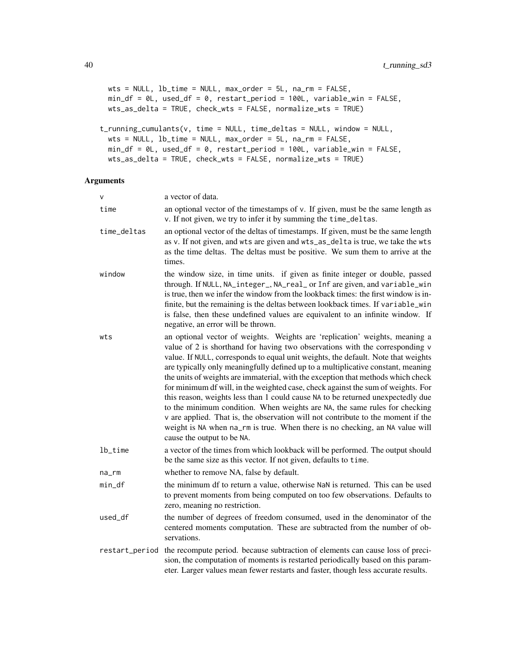```
wts = NULL, lb_time = NULL, max_order = 5L, na_rm = FALSE,
 min_df = 0L, used_df = 0, restart_period = 100L, variable_win = FALSE,
 wts_as_delta = TRUE, check_wts = FALSE, normalize_wts = TRUE)
t_running_cumulants(v, time = NULL, time_deltas = NULL, window = NULL,
 wts = NULL, lb_time = NULL, max_order = 5L, na_rm = FALSE,
 min_df = 0L, used_df = 0, restart_period = 100L, variable_win = FALSE,
 wts_as_delta = TRUE, check_wts = FALSE, normalize_wts = TRUE)
```
# Arguments

| V           | a vector of data.                                                                                                                                                                                                                                                                                                                                                                                                                                                                                                                                                                                                                                                                                                                                                                                                                                                               |
|-------------|---------------------------------------------------------------------------------------------------------------------------------------------------------------------------------------------------------------------------------------------------------------------------------------------------------------------------------------------------------------------------------------------------------------------------------------------------------------------------------------------------------------------------------------------------------------------------------------------------------------------------------------------------------------------------------------------------------------------------------------------------------------------------------------------------------------------------------------------------------------------------------|
| time        | an optional vector of the timestamps of v. If given, must be the same length as<br>v. If not given, we try to infer it by summing the time_deltas.                                                                                                                                                                                                                                                                                                                                                                                                                                                                                                                                                                                                                                                                                                                              |
| time_deltas | an optional vector of the deltas of timestamps. If given, must be the same length<br>as v. If not given, and wts are given and wts_as_delta is true, we take the wts<br>as the time deltas. The deltas must be positive. We sum them to arrive at the<br>times.                                                                                                                                                                                                                                                                                                                                                                                                                                                                                                                                                                                                                 |
| window      | the window size, in time units. if given as finite integer or double, passed<br>through. If NULL, NA_integer_, NA_real_ or Inf are given, and variable_win<br>is true, then we infer the window from the lookback times: the first window is in-<br>finite, but the remaining is the deltas between lookback times. If variable_win<br>is false, then these undefined values are equivalent to an infinite window. If<br>negative, an error will be thrown.                                                                                                                                                                                                                                                                                                                                                                                                                     |
| wts         | an optional vector of weights. Weights are 'replication' weights, meaning a<br>value of 2 is shorthand for having two observations with the corresponding v<br>value. If NULL, corresponds to equal unit weights, the default. Note that weights<br>are typically only meaningfully defined up to a multiplicative constant, meaning<br>the units of weights are immaterial, with the exception that methods which check<br>for minimum df will, in the weighted case, check against the sum of weights. For<br>this reason, weights less than 1 could cause NA to be returned unexpectedly due<br>to the minimum condition. When weights are NA, the same rules for checking<br>v are applied. That is, the observation will not contribute to the moment if the<br>weight is NA when na_rm is true. When there is no checking, an NA value will<br>cause the output to be NA. |
| lb_time     | a vector of the times from which lookback will be performed. The output should<br>be the same size as this vector. If not given, defaults to time.                                                                                                                                                                                                                                                                                                                                                                                                                                                                                                                                                                                                                                                                                                                              |
| na_rm       | whether to remove NA, false by default.                                                                                                                                                                                                                                                                                                                                                                                                                                                                                                                                                                                                                                                                                                                                                                                                                                         |
| min_df      | the minimum df to return a value, otherwise NaN is returned. This can be used<br>to prevent moments from being computed on too few observations. Defaults to<br>zero, meaning no restriction.                                                                                                                                                                                                                                                                                                                                                                                                                                                                                                                                                                                                                                                                                   |
| used_df     | the number of degrees of freedom consumed, used in the denominator of the<br>centered moments computation. These are subtracted from the number of ob-<br>servations.                                                                                                                                                                                                                                                                                                                                                                                                                                                                                                                                                                                                                                                                                                           |
|             | restart_period the recompute period. because subtraction of elements can cause loss of preci-<br>sion, the computation of moments is restarted periodically based on this param-<br>eter. Larger values mean fewer restarts and faster, though less accurate results.                                                                                                                                                                                                                                                                                                                                                                                                                                                                                                                                                                                                           |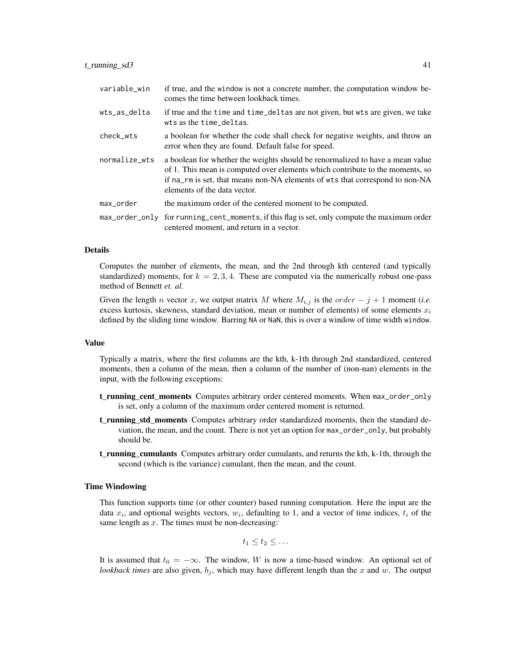| variable_win  | if true, and the window is not a concrete number, the computation window be-<br>comes the time between lookback times.                                                                                                                                                         |
|---------------|--------------------------------------------------------------------------------------------------------------------------------------------------------------------------------------------------------------------------------------------------------------------------------|
| wts_as_delta  | if true and the time and time_deltas are not given, but wts are given, we take<br>wts as the time_deltas.                                                                                                                                                                      |
| check_wts     | a boolean for whether the code shall check for negative weights, and throw an<br>error when they are found. Default false for speed.                                                                                                                                           |
| normalize_wts | a boolean for whether the weights should be renormalized to have a mean value<br>of 1. This mean is computed over elements which contribute to the moments, so<br>if na_rm is set, that means non-NA elements of wts that correspond to non-NA<br>elements of the data vector. |
| max_order     | the maximum order of the centered moment to be computed.                                                                                                                                                                                                                       |
|               | max_order_only for running_cent_moments, if this flag is set, only compute the maximum order<br>centered moment, and return in a vector.                                                                                                                                       |

#### Details

Computes the number of elements, the mean, and the 2nd through kth centered (and typically standardized) moments, for  $k = 2, 3, 4$ . These are computed via the numerically robust one-pass method of Bennett *et. al.*

Given the length *n* vector x, we output matrix M where  $M_{i,j}$  is the order  $-j+1$  moment (*i.e.* excess kurtosis, skewness, standard deviation, mean or number of elements) of some elements  $x_i$ defined by the sliding time window. Barring NA or NaN, this is over a window of time width window.

#### Value

Typically a matrix, where the first columns are the kth, k-1th through 2nd standardized, centered moments, then a column of the mean, then a column of the number of (non-nan) elements in the input, with the following exceptions:

- t\_running\_cent\_moments Computes arbitrary order centered moments. When max\_order\_only is set, only a column of the maximum order centered moment is returned.
- t running std moments Computes arbitrary order standardized moments, then the standard deviation, the mean, and the count. There is not yet an option for max\_order\_only, but probably should be.
- **t\_running\_cumulants** Computes arbitrary order cumulants, and returns the kth, k-1th, through the second (which is the variance) cumulant, then the mean, and the count.

#### Time Windowing

This function supports time (or other counter) based running computation. Here the input are the data  $x_i$ , and optional weights vectors,  $w_i$ , defaulting to 1, and a vector of time indices,  $t_i$  of the same length as  $x$ . The times must be non-decreasing:

$$
t_1\leq t_2\leq \ldots
$$

It is assumed that  $t_0 = -\infty$ . The window, W is now a time-based window. An optional set of *lookback times* are also given,  $b_j$ , which may have different length than the x and w. The output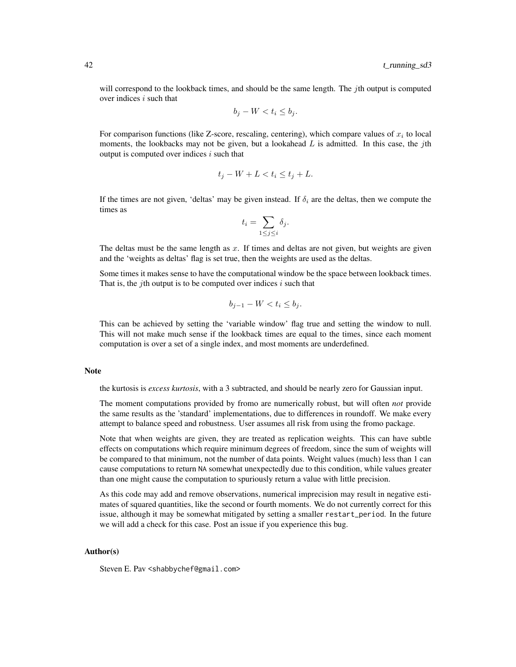will correspond to the lookback times, and should be the same length. The *j*th output is computed over indices  $i$  such that

$$
b_j - W < t_i \le b_j.
$$

For comparison functions (like Z-score, rescaling, centering), which compare values of  $x_i$  to local moments, the lookbacks may not be given, but a lookahead  $L$  is admitted. In this case, the jth output is computed over indices  $i$  such that

$$
t_j - W + L < t_i \le t_j + L.
$$

If the times are not given, 'deltas' may be given instead. If  $\delta_i$  are the deltas, then we compute the times as

$$
t_i = \sum_{1 \le j \le i} \delta_j.
$$

The deltas must be the same length as  $x$ . If times and deltas are not given, but weights are given and the 'weights as deltas' flag is set true, then the weights are used as the deltas.

Some times it makes sense to have the computational window be the space between lookback times. That is, the *j*th output is to be computed over indices  $i$  such that

$$
b_{j-1} - W < t_i \le b_j.
$$

This can be achieved by setting the 'variable window' flag true and setting the window to null. This will not make much sense if the lookback times are equal to the times, since each moment computation is over a set of a single index, and most moments are underdefined.

#### Note

the kurtosis is *excess kurtosis*, with a 3 subtracted, and should be nearly zero for Gaussian input.

The moment computations provided by fromo are numerically robust, but will often *not* provide the same results as the 'standard' implementations, due to differences in roundoff. We make every attempt to balance speed and robustness. User assumes all risk from using the fromo package.

Note that when weights are given, they are treated as replication weights. This can have subtle effects on computations which require minimum degrees of freedom, since the sum of weights will be compared to that minimum, not the number of data points. Weight values (much) less than 1 can cause computations to return NA somewhat unexpectedly due to this condition, while values greater than one might cause the computation to spuriously return a value with little precision.

As this code may add and remove observations, numerical imprecision may result in negative estimates of squared quantities, like the second or fourth moments. We do not currently correct for this issue, although it may be somewhat mitigated by setting a smaller restart\_period. In the future we will add a check for this case. Post an issue if you experience this bug.

#### Author(s)

Steven E. Pav <shabbychef@gmail.com>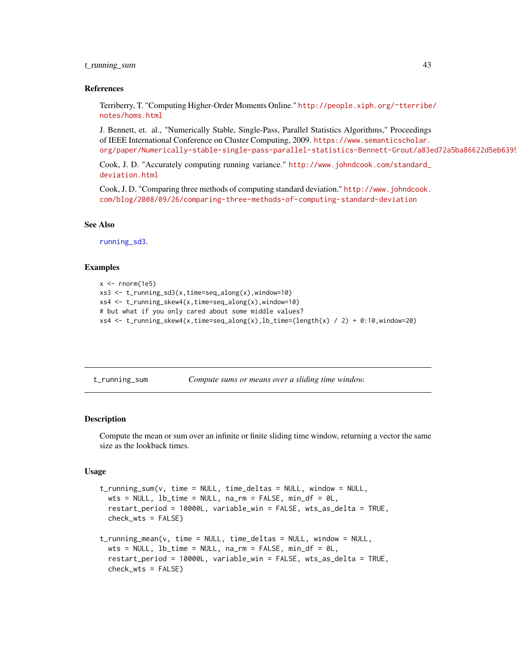### <span id="page-42-0"></span>t\_running\_sum 43

#### References

Terriberry, T. "Computing Higher-Order Moments Online." [http://people.xiph.org/~tterribe](http://people.xiph.org/~tterribe/notes/homs.html)/ [notes/homs.html](http://people.xiph.org/~tterribe/notes/homs.html)

J. Bennett, et. al., "Numerically Stable, Single-Pass, Parallel Statistics Algorithms," Proceedings of IEEE International Conference on Cluster Computing, 2009. [https://www.semanticscholar.](https://www.semanticscholar.org/paper/Numerically-stable-single-pass-parallel-statistics-Bennett-Grout/a83ed72a5ba86622d5eb6395299b46d51c901265) org/paper/Numerically-stable-single-pass-parallel-statistics-Bennett-Grout/a83ed72a5ba86622d5eb6399

Cook, J. D. "Accurately computing running variance." [http://www.johndcook.com/standard\\_](http://www.johndcook.com/standard_deviation.html) [deviation.html](http://www.johndcook.com/standard_deviation.html)

Cook, J. D. "Comparing three methods of computing standard deviation." [http://www.johndcook.](http://www.johndcook.com/blog/2008/09/26/comparing-three-methods-of-computing-standard-deviation) [com/blog/2008/09/26/comparing-three-methods-of-computing-standard-deviation](http://www.johndcook.com/blog/2008/09/26/comparing-three-methods-of-computing-standard-deviation)

#### See Also

[running\\_sd3](#page-20-2).

#### Examples

```
x \le - rnorm(1e5)
xs3 \leq t_running_sd3(x,time=seq_along(x),window=10)
xs4 <- t_running_skew4(x,time=seq_along(x),window=10)
# but what if you only cared about some middle values?
xs4 \le t_running_skew4(x,time=seq_along(x),lb_time=(length(x) / 2) + 0:10,window=20)
```

| t_running_sum | Compute sums or means over a sliding time window. |  |  |
|---------------|---------------------------------------------------|--|--|
|---------------|---------------------------------------------------|--|--|

#### Description

Compute the mean or sum over an infinite or finite sliding time window, returning a vector the same size as the lookback times.

#### Usage

```
t_running_sum(v, time = NULL, time_deltas = NULL, window = NULL,
  wts = NULL, lb_time = NULL, na\_rm = FALSE, min_d f = 0L,
  restart_period = 10000L, variable_win = FALSE, wts_as_delta = TRUE,
  check_wts = FALSE)
t_running_mean(v, time = NULL, time_deltas = NULL, window = NULL,
  wts = NULL, lb_time = NULL, na_rm = FALSE, min_d f = 0L,
  restart_period = 10000L, variable_win = FALSE, wts_as_delta = TRUE,
```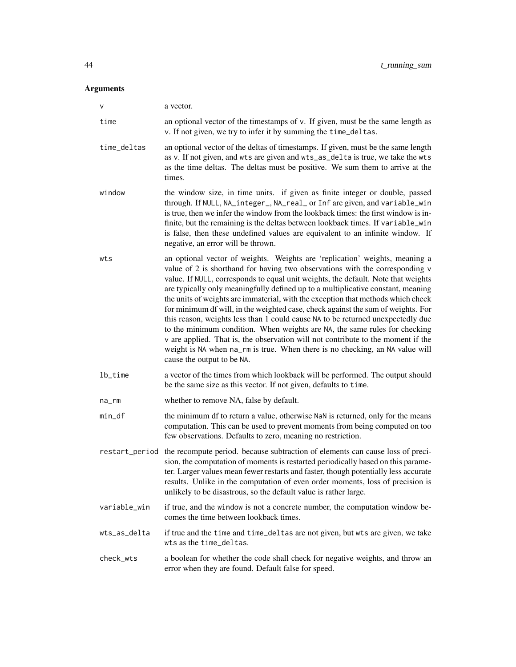# Arguments

| $\mathsf{V}$ | a vector.                                                                                                                                                                                                                                                                                                                                                                                                                                                                                                                                                                                                                                                                                                                                                                                                                                                                       |
|--------------|---------------------------------------------------------------------------------------------------------------------------------------------------------------------------------------------------------------------------------------------------------------------------------------------------------------------------------------------------------------------------------------------------------------------------------------------------------------------------------------------------------------------------------------------------------------------------------------------------------------------------------------------------------------------------------------------------------------------------------------------------------------------------------------------------------------------------------------------------------------------------------|
| time         | an optional vector of the timestamps of v. If given, must be the same length as<br>v. If not given, we try to infer it by summing the time_deltas.                                                                                                                                                                                                                                                                                                                                                                                                                                                                                                                                                                                                                                                                                                                              |
| time_deltas  | an optional vector of the deltas of timestamps. If given, must be the same length<br>as v. If not given, and wts are given and wts_as_delta is true, we take the wts<br>as the time deltas. The deltas must be positive. We sum them to arrive at the<br>times.                                                                                                                                                                                                                                                                                                                                                                                                                                                                                                                                                                                                                 |
| window       | the window size, in time units. if given as finite integer or double, passed<br>through. If NULL, NA_integer_, NA_real_ or Inf are given, and variable_win<br>is true, then we infer the window from the lookback times: the first window is in-<br>finite, but the remaining is the deltas between lookback times. If variable_win<br>is false, then these undefined values are equivalent to an infinite window. If<br>negative, an error will be thrown.                                                                                                                                                                                                                                                                                                                                                                                                                     |
| wts          | an optional vector of weights. Weights are 'replication' weights, meaning a<br>value of 2 is shorthand for having two observations with the corresponding v<br>value. If NULL, corresponds to equal unit weights, the default. Note that weights<br>are typically only meaningfully defined up to a multiplicative constant, meaning<br>the units of weights are immaterial, with the exception that methods which check<br>for minimum df will, in the weighted case, check against the sum of weights. For<br>this reason, weights less than 1 could cause NA to be returned unexpectedly due<br>to the minimum condition. When weights are NA, the same rules for checking<br>v are applied. That is, the observation will not contribute to the moment if the<br>weight is NA when na_rm is true. When there is no checking, an NA value will<br>cause the output to be NA. |
| lb_time      | a vector of the times from which lookback will be performed. The output should<br>be the same size as this vector. If not given, defaults to time.                                                                                                                                                                                                                                                                                                                                                                                                                                                                                                                                                                                                                                                                                                                              |
| na_rm        | whether to remove NA, false by default.                                                                                                                                                                                                                                                                                                                                                                                                                                                                                                                                                                                                                                                                                                                                                                                                                                         |
| min_df       | the minimum df to return a value, otherwise NaN is returned, only for the means<br>computation. This can be used to prevent moments from being computed on too<br>few observations. Defaults to zero, meaning no restriction.                                                                                                                                                                                                                                                                                                                                                                                                                                                                                                                                                                                                                                                   |
|              | restart_period the recompute period. because subtraction of elements can cause loss of preci-<br>sion, the computation of moments is restarted periodically based on this parame-<br>ter. Larger values mean fewer restarts and faster, though potentially less accurate<br>results. Unlike in the computation of even order moments, loss of precision is<br>unlikely to be disastrous, so the default value is rather large.                                                                                                                                                                                                                                                                                                                                                                                                                                                  |
| variable_win | if true, and the window is not a concrete number, the computation window be-<br>comes the time between lookback times.                                                                                                                                                                                                                                                                                                                                                                                                                                                                                                                                                                                                                                                                                                                                                          |
| wts_as_delta | if true and the time and time_deltas are not given, but wts are given, we take<br>wts as the time_deltas.                                                                                                                                                                                                                                                                                                                                                                                                                                                                                                                                                                                                                                                                                                                                                                       |
| check_wts    | a boolean for whether the code shall check for negative weights, and throw an<br>error when they are found. Default false for speed.                                                                                                                                                                                                                                                                                                                                                                                                                                                                                                                                                                                                                                                                                                                                            |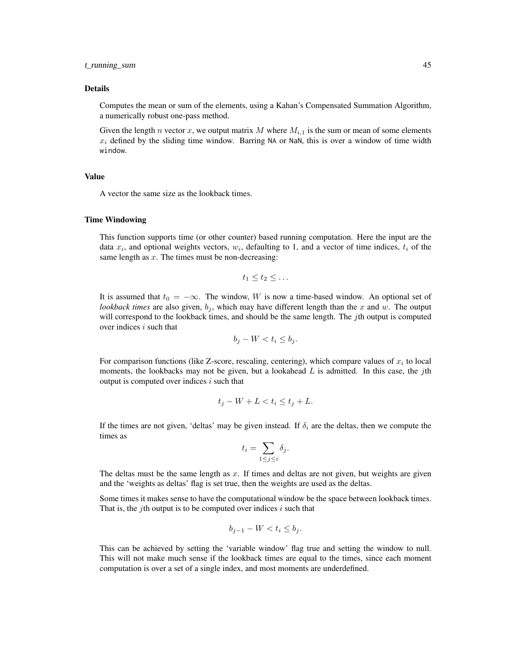#### t\_running\_sum 45

#### Details

Computes the mean or sum of the elements, using a Kahan's Compensated Summation Algorithm, a numerically robust one-pass method.

Given the length n vector x, we output matrix M where  $M_{i,1}$  is the sum or mean of some elements  $x_i$  defined by the sliding time window. Barring NA or NaN, this is over a window of time width window.

### Value

A vector the same size as the lookback times.

#### Time Windowing

This function supports time (or other counter) based running computation. Here the input are the data  $x_i$ , and optional weights vectors,  $w_i$ , defaulting to 1, and a vector of time indices,  $t_i$  of the same length as  $x$ . The times must be non-decreasing:

$$
t_1\leq t_2\leq \ldots
$$

It is assumed that  $t_0 = -\infty$ . The window, W is now a time-based window. An optional set of *lookback times* are also given,  $b_j$ , which may have different length than the x and w. The output will correspond to the lookback times, and should be the same length. The jth output is computed over indices  $i$  such that

$$
b_j - W < t_i \le b_j.
$$

For comparison functions (like Z-score, rescaling, centering), which compare values of  $x_i$  to local moments, the lookbacks may not be given, but a lookahead  $L$  is admitted. In this case, the jth output is computed over indices  $i$  such that

$$
t_j - W + L < t_i \le t_j + L.
$$

If the times are not given, 'deltas' may be given instead. If  $\delta_i$  are the deltas, then we compute the times as

$$
t_i = \sum_{1 \le j \le i} \delta_j.
$$

The deltas must be the same length as  $x$ . If times and deltas are not given, but weights are given and the 'weights as deltas' flag is set true, then the weights are used as the deltas.

Some times it makes sense to have the computational window be the space between lookback times. That is, the *j*th output is to be computed over indices  $i$  such that

$$
b_{j-1} - W < t_i \le b_j.
$$

This can be achieved by setting the 'variable window' flag true and setting the window to null. This will not make much sense if the lookback times are equal to the times, since each moment computation is over a set of a single index, and most moments are underdefined.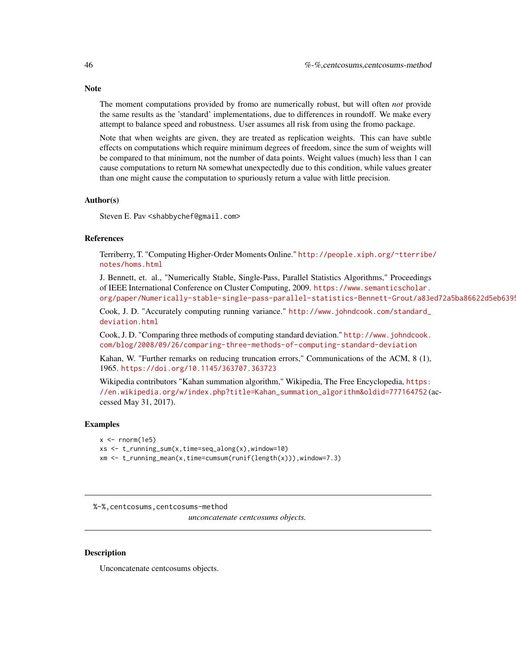The moment computations provided by fromo are numerically robust, but will often *not* provide the same results as the 'standard' implementations, due to differences in roundoff. We make every attempt to balance speed and robustness. User assumes all risk from using the fromo package.

Note that when weights are given, they are treated as replication weights. This can have subtle effects on computations which require minimum degrees of freedom, since the sum of weights will be compared to that minimum, not the number of data points. Weight values (much) less than 1 can cause computations to return NA somewhat unexpectedly due to this condition, while values greater than one might cause the computation to spuriously return a value with little precision.

#### Author(s)

Steven E. Pav <shabbychef@gmail.com>

#### References

Terriberry, T. "Computing Higher-Order Moments Online." [http://people.xiph.org/~tterribe](http://people.xiph.org/~tterribe/notes/homs.html)/ [notes/homs.html](http://people.xiph.org/~tterribe/notes/homs.html)

J. Bennett, et. al., "Numerically Stable, Single-Pass, Parallel Statistics Algorithms," Proceedings of IEEE International Conference on Cluster Computing, 2009. [https://www.semanticscholar.](https://www.semanticscholar.org/paper/Numerically-stable-single-pass-parallel-statistics-Bennett-Grout/a83ed72a5ba86622d5eb6395299b46d51c901265) org/paper/Numerically-stable-single-pass-parallel-statistics-Bennett-Grout/a83ed72a5ba86622d5eb6399

Cook, J. D. "Accurately computing running variance." [http://www.johndcook.com/standard\\_](http://www.johndcook.com/standard_deviation.html) [deviation.html](http://www.johndcook.com/standard_deviation.html)

Cook, J. D. "Comparing three methods of computing standard deviation." [http://www.johndcook.](http://www.johndcook.com/blog/2008/09/26/comparing-three-methods-of-computing-standard-deviation) [com/blog/2008/09/26/comparing-three-methods-of-computing-standard-deviation](http://www.johndcook.com/blog/2008/09/26/comparing-three-methods-of-computing-standard-deviation)

Kahan, W. "Further remarks on reducing truncation errors," Communications of the ACM, 8 (1), 1965. <https://doi.org/10.1145/363707.363723>

Wikipedia contributors "Kahan summation algorithm," Wikipedia, The Free Encyclopedia, [https:](https://en.wikipedia.org/w/index.php?title=Kahan_summation_algorithm&oldid=777164752) [//en.wikipedia.org/w/index.php?title=Kahan\\_summation\\_algorithm&oldid=777164752](https://en.wikipedia.org/w/index.php?title=Kahan_summation_algorithm&oldid=777164752) (accessed May 31, 2017).

#### Examples

```
x \leftarrow \text{rnorm}(1e5)xs <- t_running_sum(x,time=seq_along(x),window=10)
xm <- t_running_mean(x,time=cumsum(runif(length(x))),window=7.3)
```
%-%,centcosums,centcosums-method

*unconcatenate centcosums objects.*

#### Description

Unconcatenate centcosums objects.

<span id="page-45-0"></span>

#### **Note**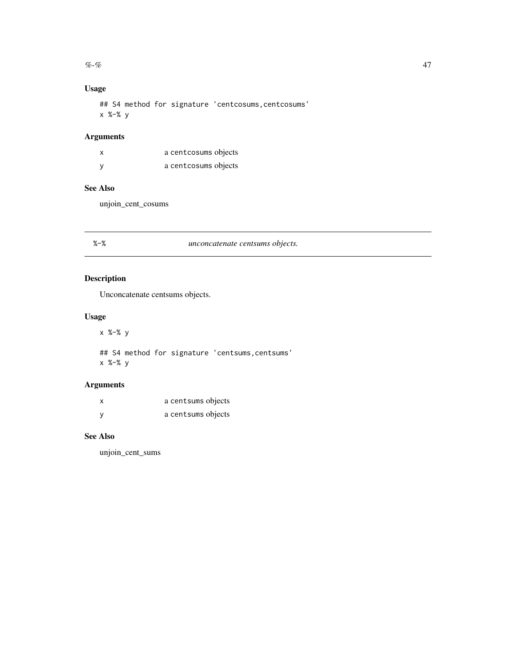#### <span id="page-46-0"></span> $\%$ -% and the set of the set of the set of the set of the set of the set of the set of the set of the set of the set of the set of the set of the set of the set of the set of the set of the set of the set of the set of t

# Usage

## S4 method for signature 'centcosums, centcosums' x %-% y

# Arguments

| x | a centcosums objects |
|---|----------------------|
| ٧ | a centcosums objects |

# See Also

unjoin\_cent\_cosums

# %-% *unconcatenate centsums objects.*

# Description

Unconcatenate centsums objects.

# Usage

x %-% y

## S4 method for signature 'centsums, centsums' x %-% y

# Arguments

| x | a centsums objects |
|---|--------------------|
| у | a centsums objects |

# See Also

unjoin\_cent\_sums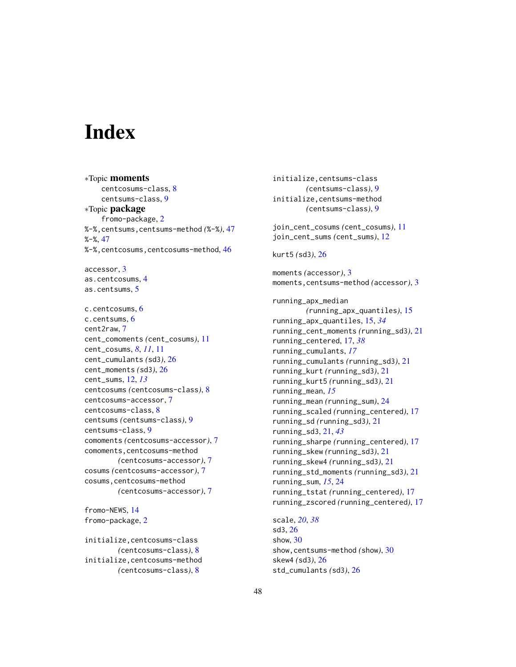# <span id="page-47-0"></span>**Index**

∗Topic moments centcosums-class, [8](#page-7-0) centsums-class, [9](#page-8-0) ∗Topic package fromo-package, [2](#page-1-0) %-%,centsums,centsums-method *(*%-%*)*, [47](#page-46-0) %-%, [47](#page-46-0) %-%,centcosums,centcosums-method, [46](#page-45-0) accessor, [3](#page-2-0) as.centcosums, [4](#page-3-0) as.centsums, [5](#page-4-0) c.centcosums, [6](#page-5-0) c.centsums, [6](#page-5-0) cent2raw, [7](#page-6-0) cent\_comoments *(*cent\_cosums*)*, [11](#page-10-0) cent\_cosums, *[8](#page-7-0)*, *[11](#page-10-0)*, [11](#page-10-0) cent\_cumulants *(*sd3*)*, [26](#page-25-0) cent\_moments *(*sd3*)*, [26](#page-25-0) cent\_sums, [12,](#page-11-0) *[13](#page-12-0)* centcosums *(*centcosums-class*)*, [8](#page-7-0) centcosums-accessor, [7](#page-6-0) centcosums-class, [8](#page-7-0) centsums *(*centsums-class*)*, [9](#page-8-0) centsums-class, [9](#page-8-0) comoments *(*centcosums-accessor*)*, [7](#page-6-0) comoments, centcosums-method *(*centcosums-accessor*)*, [7](#page-6-0) cosums *(*centcosums-accessor*)*, [7](#page-6-0) cosums,centcosums-method *(*centcosums-accessor*)*, [7](#page-6-0)

fromo-NEWS, [14](#page-13-0) fromo-package, [2](#page-1-0)

initialize,centcosums-class *(*centcosums-class*)*, [8](#page-7-0) initialize,centcosums-method *(*centcosums-class*)*, [8](#page-7-0)

initialize,centsums-class *(*centsums-class*)*, [9](#page-8-0) initialize,centsums-method *(*centsums-class*)*, [9](#page-8-0) join\_cent\_cosums *(*cent\_cosums*)*, [11](#page-10-0) join\_cent\_sums *(*cent\_sums*)*, [12](#page-11-0) kurt5 *(*sd3*)*, [26](#page-25-0) moments *(*accessor*)*, [3](#page-2-0) moments,centsums-method *(*accessor*)*, [3](#page-2-0) running\_apx\_median *(*running\_apx\_quantiles*)*, [15](#page-14-0) running\_apx\_quantiles, [15,](#page-14-0) *[34](#page-33-0)* running\_cent\_moments *(*running\_sd3*)*, [21](#page-20-0) running\_centered, [17,](#page-16-0) *[38](#page-37-0)* running\_cumulants, *[17](#page-16-0)* running\_cumulants *(*running\_sd3*)*, [21](#page-20-0) running\_kurt *(*running\_sd3*)*, [21](#page-20-0) running\_kurt5 *(*running\_sd3*)*, [21](#page-20-0) running\_mean, *[15](#page-14-0)* running\_mean *(*running\_sum*)*, [24](#page-23-0) running\_scaled *(*running\_centered*)*, [17](#page-16-0) running\_sd *(*running\_sd3*)*, [21](#page-20-0) running\_sd3, [21,](#page-20-0) *[43](#page-42-0)* running\_sharpe *(*running\_centered*)*, [17](#page-16-0) running\_skew *(*running\_sd3*)*, [21](#page-20-0) running\_skew4 *(*running\_sd3*)*, [21](#page-20-0) running\_std\_moments *(*running\_sd3*)*, [21](#page-20-0) running\_sum, *[15](#page-14-0)*, [24](#page-23-0) running\_tstat *(*running\_centered*)*, [17](#page-16-0) running\_zscored *(*running\_centered*)*, [17](#page-16-0)

scale, *[20](#page-19-0)*, *[38](#page-37-0)* sd3, [26](#page-25-0) show, [30](#page-29-0) show,centsums-method *(*show*)*, [30](#page-29-0) skew4 *(*sd3*)*, [26](#page-25-0) std\_cumulants *(*sd3*)*, [26](#page-25-0)